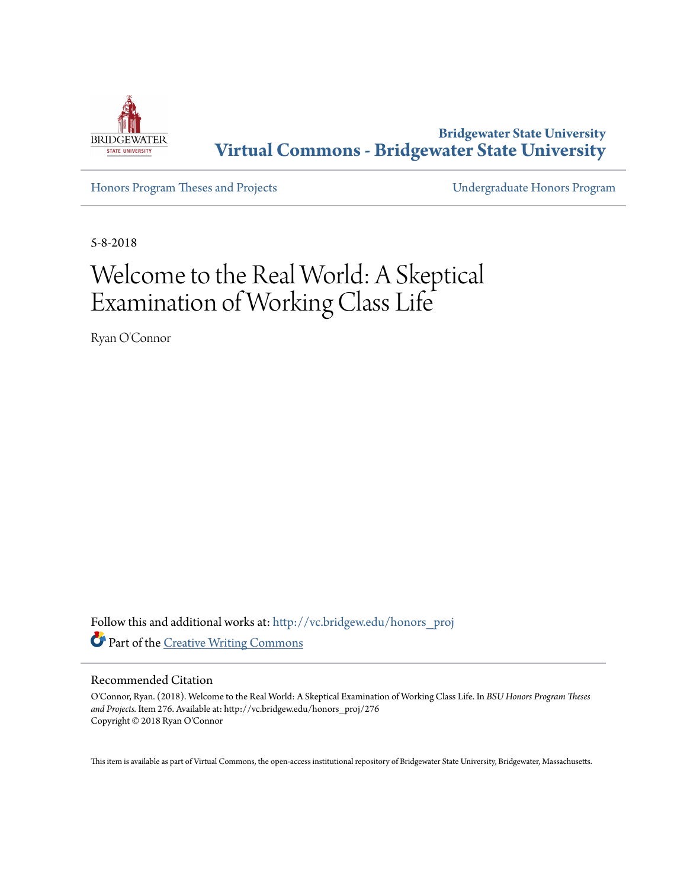

**Bridgewater State University [Virtual Commons - Bridgewater State University](http://vc.bridgew.edu?utm_source=vc.bridgew.edu%2Fhonors_proj%2F276&utm_medium=PDF&utm_campaign=PDFCoverPages)**

[Honors Program Theses and Projects](http://vc.bridgew.edu/honors_proj?utm_source=vc.bridgew.edu%2Fhonors_proj%2F276&utm_medium=PDF&utm_campaign=PDFCoverPages) [Undergraduate Honors Program](http://vc.bridgew.edu/honors?utm_source=vc.bridgew.edu%2Fhonors_proj%2F276&utm_medium=PDF&utm_campaign=PDFCoverPages)

5-8-2018

# Welcome to the Real World: A Skeptical Examination of Working Class Life

Ryan O'Connor

Follow this and additional works at: [http://vc.bridgew.edu/honors\\_proj](http://vc.bridgew.edu/honors_proj?utm_source=vc.bridgew.edu%2Fhonors_proj%2F276&utm_medium=PDF&utm_campaign=PDFCoverPages) Part of the [Creative Writing Commons](http://network.bepress.com/hgg/discipline/574?utm_source=vc.bridgew.edu%2Fhonors_proj%2F276&utm_medium=PDF&utm_campaign=PDFCoverPages)

### Recommended Citation

O'Connor, Ryan. (2018). Welcome to the Real World: A Skeptical Examination of Working Class Life. In *BSU Honors Program Theses and Projects.* Item 276. Available at: http://vc.bridgew.edu/honors\_proj/276 Copyright © 2018 Ryan O'Connor

This item is available as part of Virtual Commons, the open-access institutional repository of Bridgewater State University, Bridgewater, Massachusetts.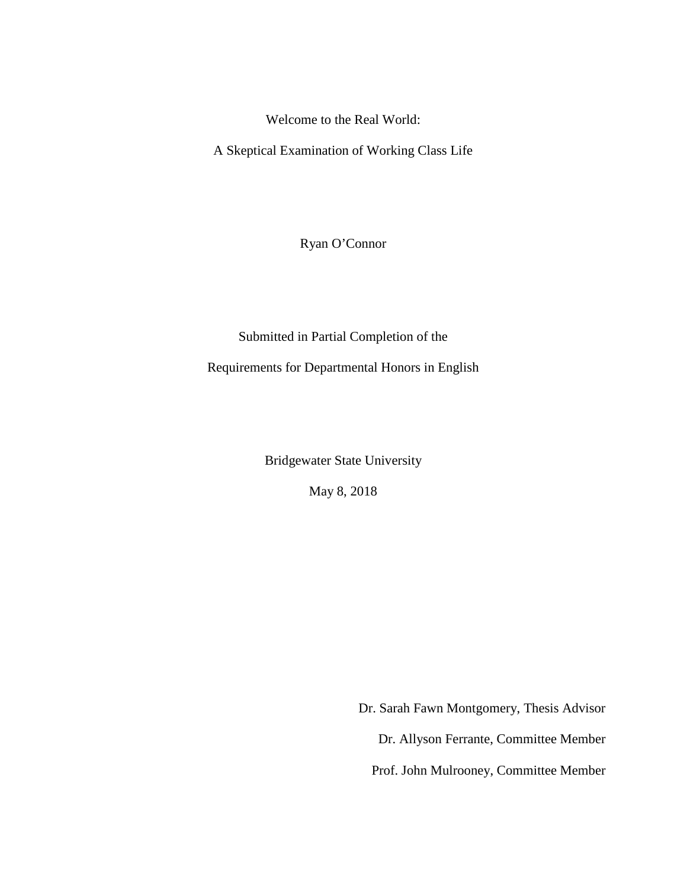Welcome to the Real World:

A Skeptical Examination of Working Class Life

Ryan O'Connor

Submitted in Partial Completion of the

Requirements for Departmental Honors in English

Bridgewater State University

May 8, 2018

Dr. Sarah Fawn Montgomery, Thesis Advisor Dr. Allyson Ferrante, Committee Member Prof. John Mulrooney, Committee Member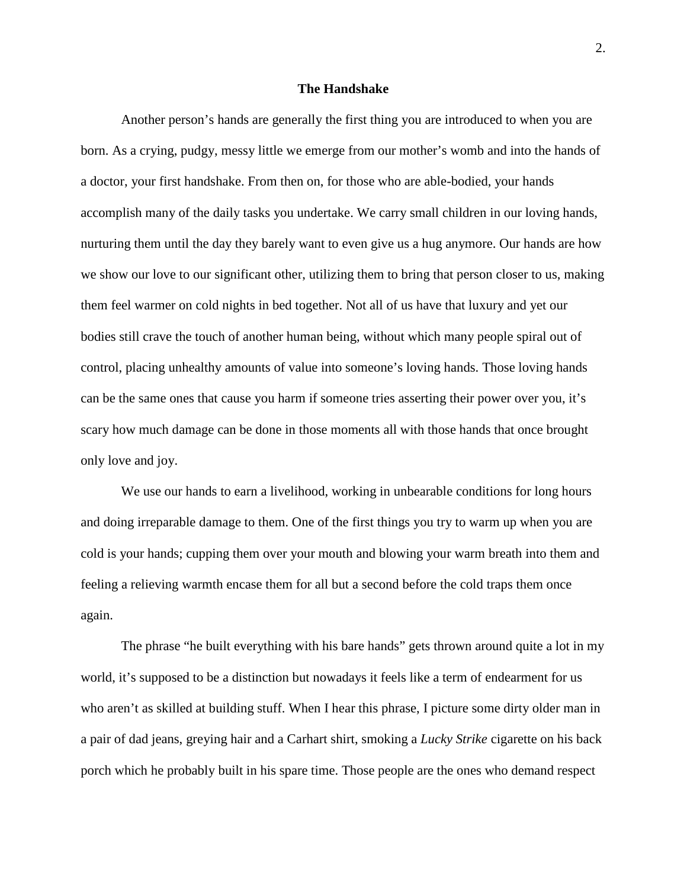### **The Handshake**

Another person's hands are generally the first thing you are introduced to when you are born. As a crying, pudgy, messy little we emerge from our mother's womb and into the hands of a doctor, your first handshake. From then on, for those who are able-bodied, your hands accomplish many of the daily tasks you undertake. We carry small children in our loving hands, nurturing them until the day they barely want to even give us a hug anymore. Our hands are how we show our love to our significant other, utilizing them to bring that person closer to us, making them feel warmer on cold nights in bed together. Not all of us have that luxury and yet our bodies still crave the touch of another human being, without which many people spiral out of control, placing unhealthy amounts of value into someone's loving hands. Those loving hands can be the same ones that cause you harm if someone tries asserting their power over you, it's scary how much damage can be done in those moments all with those hands that once brought only love and joy.

We use our hands to earn a livelihood, working in unbearable conditions for long hours and doing irreparable damage to them. One of the first things you try to warm up when you are cold is your hands; cupping them over your mouth and blowing your warm breath into them and feeling a relieving warmth encase them for all but a second before the cold traps them once again.

The phrase "he built everything with his bare hands" gets thrown around quite a lot in my world, it's supposed to be a distinction but nowadays it feels like a term of endearment for us who aren't as skilled at building stuff. When I hear this phrase, I picture some dirty older man in a pair of dad jeans, greying hair and a Carhart shirt, smoking a *Lucky Strike* cigarette on his back porch which he probably built in his spare time. Those people are the ones who demand respect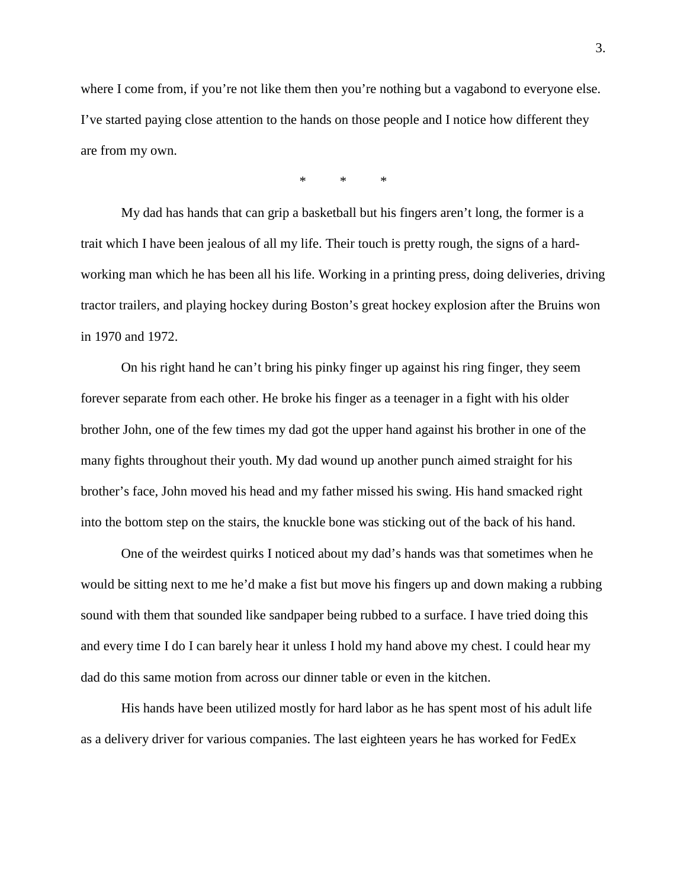where I come from, if you're not like them then you're nothing but a vagabond to everyone else. I've started paying close attention to the hands on those people and I notice how different they are from my own.

\* \* \*

My dad has hands that can grip a basketball but his fingers aren't long, the former is a trait which I have been jealous of all my life. Their touch is pretty rough, the signs of a hardworking man which he has been all his life. Working in a printing press, doing deliveries, driving tractor trailers, and playing hockey during Boston's great hockey explosion after the Bruins won in 1970 and 1972.

On his right hand he can't bring his pinky finger up against his ring finger, they seem forever separate from each other. He broke his finger as a teenager in a fight with his older brother John, one of the few times my dad got the upper hand against his brother in one of the many fights throughout their youth. My dad wound up another punch aimed straight for his brother's face, John moved his head and my father missed his swing. His hand smacked right into the bottom step on the stairs, the knuckle bone was sticking out of the back of his hand.

One of the weirdest quirks I noticed about my dad's hands was that sometimes when he would be sitting next to me he'd make a fist but move his fingers up and down making a rubbing sound with them that sounded like sandpaper being rubbed to a surface. I have tried doing this and every time I do I can barely hear it unless I hold my hand above my chest. I could hear my dad do this same motion from across our dinner table or even in the kitchen.

His hands have been utilized mostly for hard labor as he has spent most of his adult life as a delivery driver for various companies. The last eighteen years he has worked for FedEx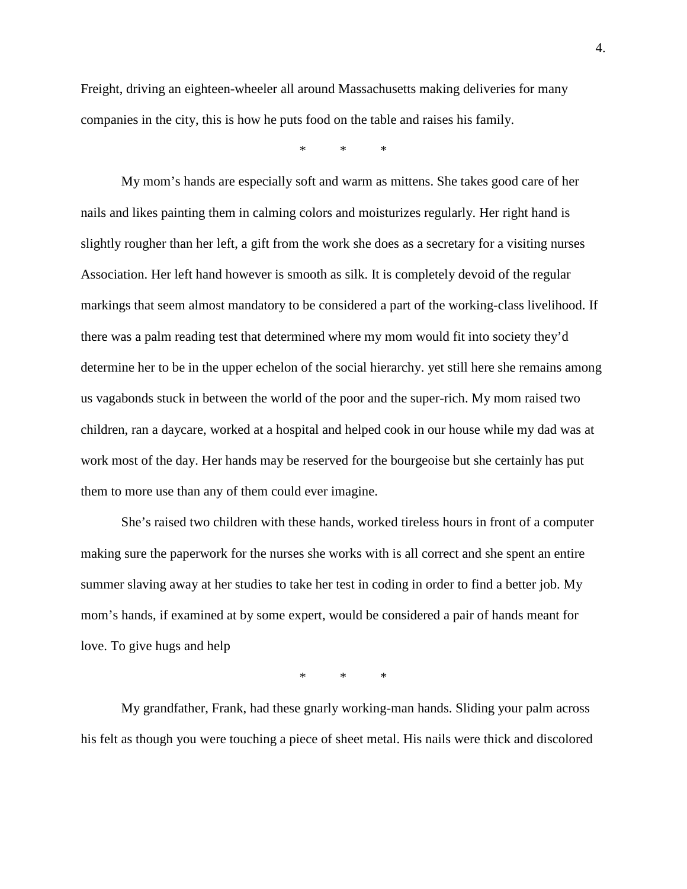Freight, driving an eighteen-wheeler all around Massachusetts making deliveries for many companies in the city, this is how he puts food on the table and raises his family.

\* \* \*

My mom's hands are especially soft and warm as mittens. She takes good care of her nails and likes painting them in calming colors and moisturizes regularly. Her right hand is slightly rougher than her left, a gift from the work she does as a secretary for a visiting nurses Association. Her left hand however is smooth as silk. It is completely devoid of the regular markings that seem almost mandatory to be considered a part of the working-class livelihood. If there was a palm reading test that determined where my mom would fit into society they'd determine her to be in the upper echelon of the social hierarchy. yet still here she remains among us vagabonds stuck in between the world of the poor and the super-rich. My mom raised two children, ran a daycare, worked at a hospital and helped cook in our house while my dad was at work most of the day. Her hands may be reserved for the bourgeoise but she certainly has put them to more use than any of them could ever imagine.

She's raised two children with these hands, worked tireless hours in front of a computer making sure the paperwork for the nurses she works with is all correct and she spent an entire summer slaving away at her studies to take her test in coding in order to find a better job. My mom's hands, if examined at by some expert, would be considered a pair of hands meant for love. To give hugs and help

\* \* \*

My grandfather, Frank, had these gnarly working-man hands. Sliding your palm across his felt as though you were touching a piece of sheet metal. His nails were thick and discolored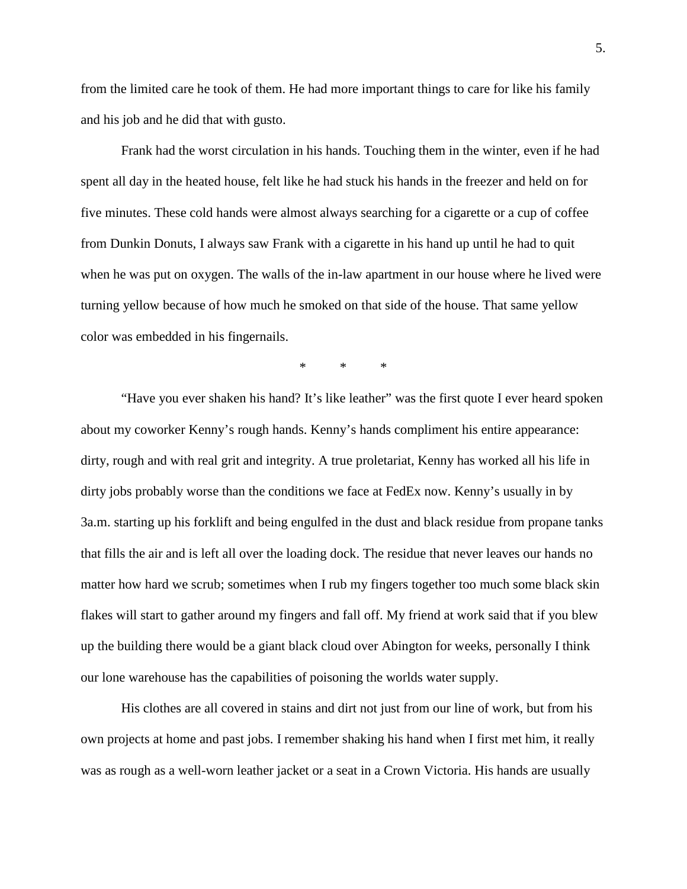from the limited care he took of them. He had more important things to care for like his family and his job and he did that with gusto.

Frank had the worst circulation in his hands. Touching them in the winter, even if he had spent all day in the heated house, felt like he had stuck his hands in the freezer and held on for five minutes. These cold hands were almost always searching for a cigarette or a cup of coffee from Dunkin Donuts, I always saw Frank with a cigarette in his hand up until he had to quit when he was put on oxygen. The walls of the in-law apartment in our house where he lived were turning yellow because of how much he smoked on that side of the house. That same yellow color was embedded in his fingernails.

\* \* \*

"Have you ever shaken his hand? It's like leather" was the first quote I ever heard spoken about my coworker Kenny's rough hands. Kenny's hands compliment his entire appearance: dirty, rough and with real grit and integrity. A true proletariat, Kenny has worked all his life in dirty jobs probably worse than the conditions we face at FedEx now. Kenny's usually in by 3a.m. starting up his forklift and being engulfed in the dust and black residue from propane tanks that fills the air and is left all over the loading dock. The residue that never leaves our hands no matter how hard we scrub; sometimes when I rub my fingers together too much some black skin flakes will start to gather around my fingers and fall off. My friend at work said that if you blew up the building there would be a giant black cloud over Abington for weeks, personally I think our lone warehouse has the capabilities of poisoning the worlds water supply.

His clothes are all covered in stains and dirt not just from our line of work, but from his own projects at home and past jobs. I remember shaking his hand when I first met him, it really was as rough as a well-worn leather jacket or a seat in a Crown Victoria. His hands are usually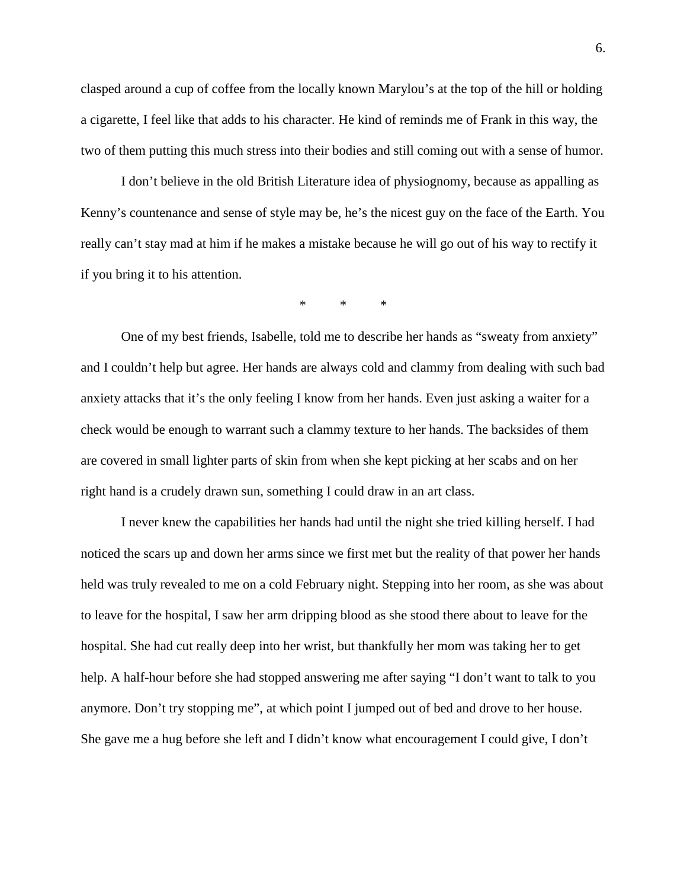clasped around a cup of coffee from the locally known Marylou's at the top of the hill or holding a cigarette, I feel like that adds to his character. He kind of reminds me of Frank in this way, the two of them putting this much stress into their bodies and still coming out with a sense of humor.

I don't believe in the old British Literature idea of physiognomy, because as appalling as Kenny's countenance and sense of style may be, he's the nicest guy on the face of the Earth. You really can't stay mad at him if he makes a mistake because he will go out of his way to rectify it if you bring it to his attention.

\* \* \*

One of my best friends, Isabelle, told me to describe her hands as "sweaty from anxiety" and I couldn't help but agree. Her hands are always cold and clammy from dealing with such bad anxiety attacks that it's the only feeling I know from her hands. Even just asking a waiter for a check would be enough to warrant such a clammy texture to her hands. The backsides of them are covered in small lighter parts of skin from when she kept picking at her scabs and on her right hand is a crudely drawn sun, something I could draw in an art class.

I never knew the capabilities her hands had until the night she tried killing herself. I had noticed the scars up and down her arms since we first met but the reality of that power her hands held was truly revealed to me on a cold February night. Stepping into her room, as she was about to leave for the hospital, I saw her arm dripping blood as she stood there about to leave for the hospital. She had cut really deep into her wrist, but thankfully her mom was taking her to get help. A half-hour before she had stopped answering me after saying "I don't want to talk to you anymore. Don't try stopping me", at which point I jumped out of bed and drove to her house. She gave me a hug before she left and I didn't know what encouragement I could give, I don't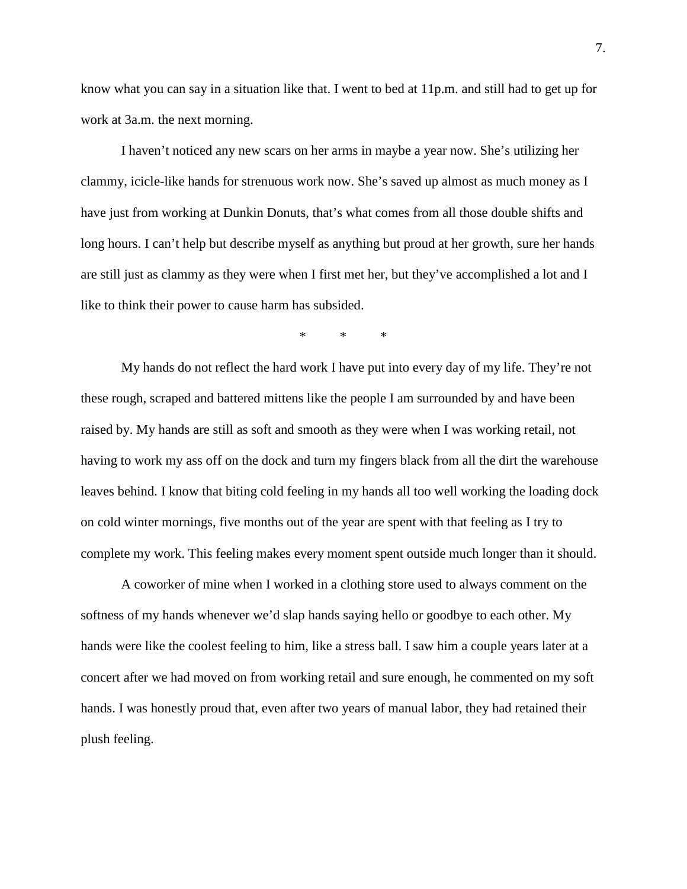know what you can say in a situation like that. I went to bed at 11p.m. and still had to get up for work at 3a.m. the next morning.

I haven't noticed any new scars on her arms in maybe a year now. She's utilizing her clammy, icicle-like hands for strenuous work now. She's saved up almost as much money as I have just from working at Dunkin Donuts, that's what comes from all those double shifts and long hours. I can't help but describe myself as anything but proud at her growth, sure her hands are still just as clammy as they were when I first met her, but they've accomplished a lot and I like to think their power to cause harm has subsided.

\* \* \*

My hands do not reflect the hard work I have put into every day of my life. They're not these rough, scraped and battered mittens like the people I am surrounded by and have been raised by. My hands are still as soft and smooth as they were when I was working retail, not having to work my ass off on the dock and turn my fingers black from all the dirt the warehouse leaves behind. I know that biting cold feeling in my hands all too well working the loading dock on cold winter mornings, five months out of the year are spent with that feeling as I try to complete my work. This feeling makes every moment spent outside much longer than it should.

A coworker of mine when I worked in a clothing store used to always comment on the softness of my hands whenever we'd slap hands saying hello or goodbye to each other. My hands were like the coolest feeling to him, like a stress ball. I saw him a couple years later at a concert after we had moved on from working retail and sure enough, he commented on my soft hands. I was honestly proud that, even after two years of manual labor, they had retained their plush feeling.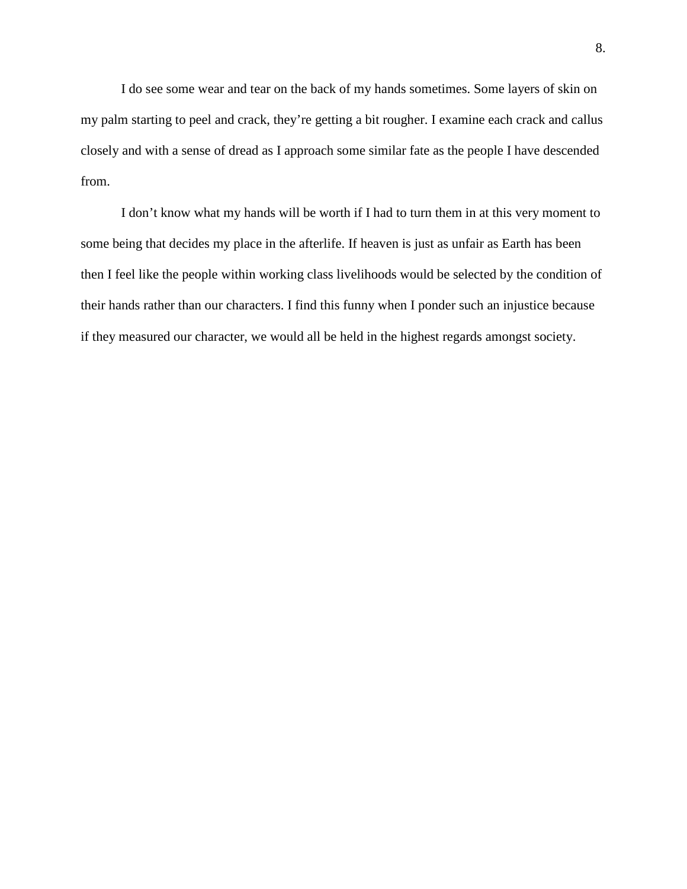I do see some wear and tear on the back of my hands sometimes. Some layers of skin on my palm starting to peel and crack, they're getting a bit rougher. I examine each crack and callus closely and with a sense of dread as I approach some similar fate as the people I have descended from.

I don't know what my hands will be worth if I had to turn them in at this very moment to some being that decides my place in the afterlife. If heaven is just as unfair as Earth has been then I feel like the people within working class livelihoods would be selected by the condition of their hands rather than our characters. I find this funny when I ponder such an injustice because if they measured our character, we would all be held in the highest regards amongst society.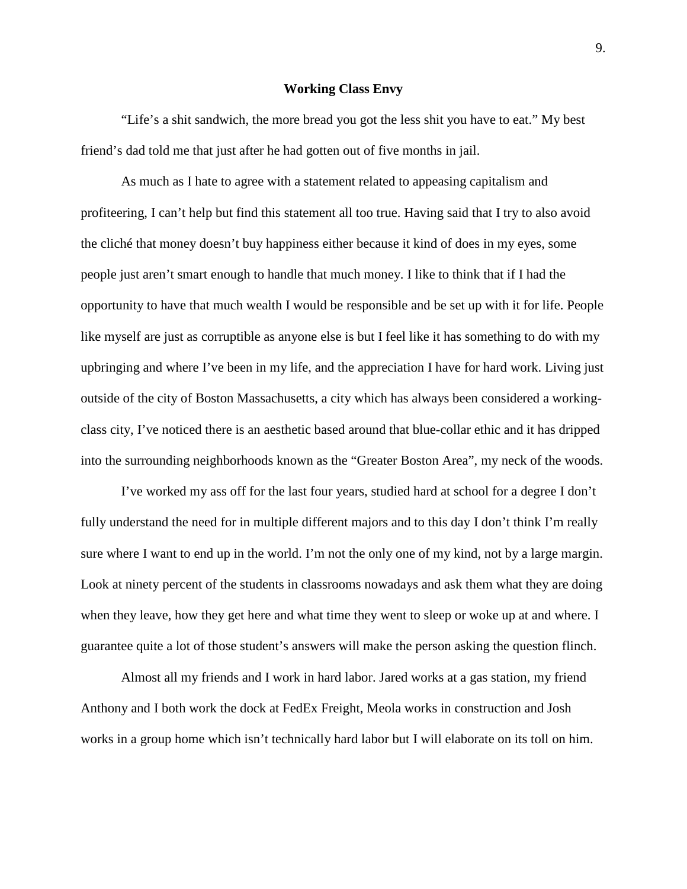#### **Working Class Envy**

"Life's a shit sandwich, the more bread you got the less shit you have to eat." My best friend's dad told me that just after he had gotten out of five months in jail.

As much as I hate to agree with a statement related to appeasing capitalism and profiteering, I can't help but find this statement all too true. Having said that I try to also avoid the cliché that money doesn't buy happiness either because it kind of does in my eyes, some people just aren't smart enough to handle that much money. I like to think that if I had the opportunity to have that much wealth I would be responsible and be set up with it for life. People like myself are just as corruptible as anyone else is but I feel like it has something to do with my upbringing and where I've been in my life, and the appreciation I have for hard work. Living just outside of the city of Boston Massachusetts, a city which has always been considered a workingclass city, I've noticed there is an aesthetic based around that blue-collar ethic and it has dripped into the surrounding neighborhoods known as the "Greater Boston Area", my neck of the woods.

I've worked my ass off for the last four years, studied hard at school for a degree I don't fully understand the need for in multiple different majors and to this day I don't think I'm really sure where I want to end up in the world. I'm not the only one of my kind, not by a large margin. Look at ninety percent of the students in classrooms nowadays and ask them what they are doing when they leave, how they get here and what time they went to sleep or woke up at and where. I guarantee quite a lot of those student's answers will make the person asking the question flinch.

Almost all my friends and I work in hard labor. Jared works at a gas station, my friend Anthony and I both work the dock at FedEx Freight, Meola works in construction and Josh works in a group home which isn't technically hard labor but I will elaborate on its toll on him.

9.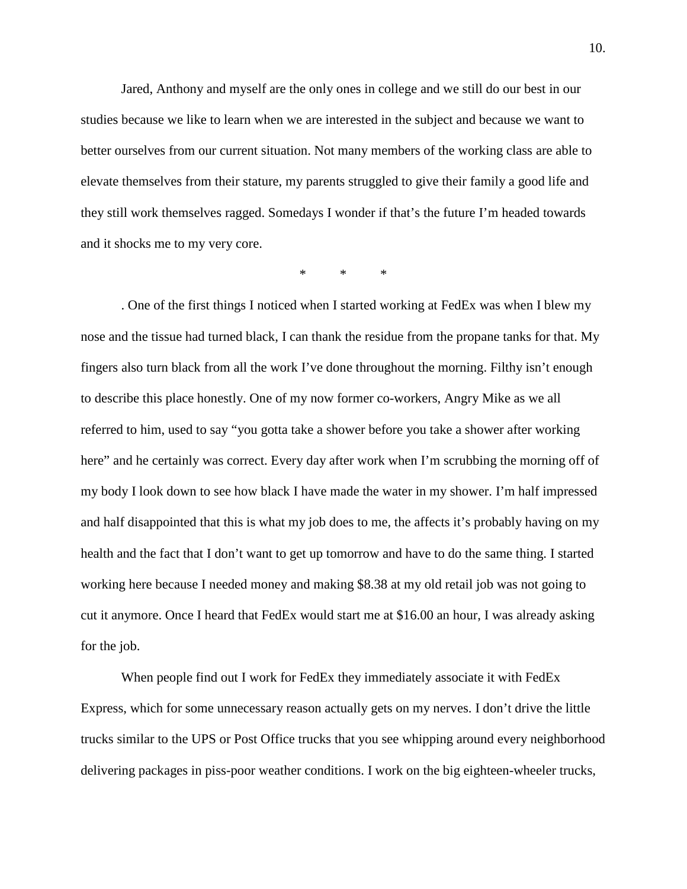Jared, Anthony and myself are the only ones in college and we still do our best in our studies because we like to learn when we are interested in the subject and because we want to better ourselves from our current situation. Not many members of the working class are able to elevate themselves from their stature, my parents struggled to give their family a good life and they still work themselves ragged. Somedays I wonder if that's the future I'm headed towards and it shocks me to my very core.

\* \* \*

. One of the first things I noticed when I started working at FedEx was when I blew my nose and the tissue had turned black, I can thank the residue from the propane tanks for that. My fingers also turn black from all the work I've done throughout the morning. Filthy isn't enough to describe this place honestly. One of my now former co-workers, Angry Mike as we all referred to him, used to say "you gotta take a shower before you take a shower after working here" and he certainly was correct. Every day after work when I'm scrubbing the morning off of my body I look down to see how black I have made the water in my shower. I'm half impressed and half disappointed that this is what my job does to me, the affects it's probably having on my health and the fact that I don't want to get up tomorrow and have to do the same thing. I started working here because I needed money and making \$8.38 at my old retail job was not going to cut it anymore. Once I heard that FedEx would start me at \$16.00 an hour, I was already asking for the job.

When people find out I work for FedEx they immediately associate it with FedEx Express, which for some unnecessary reason actually gets on my nerves. I don't drive the little trucks similar to the UPS or Post Office trucks that you see whipping around every neighborhood delivering packages in piss-poor weather conditions. I work on the big eighteen-wheeler trucks,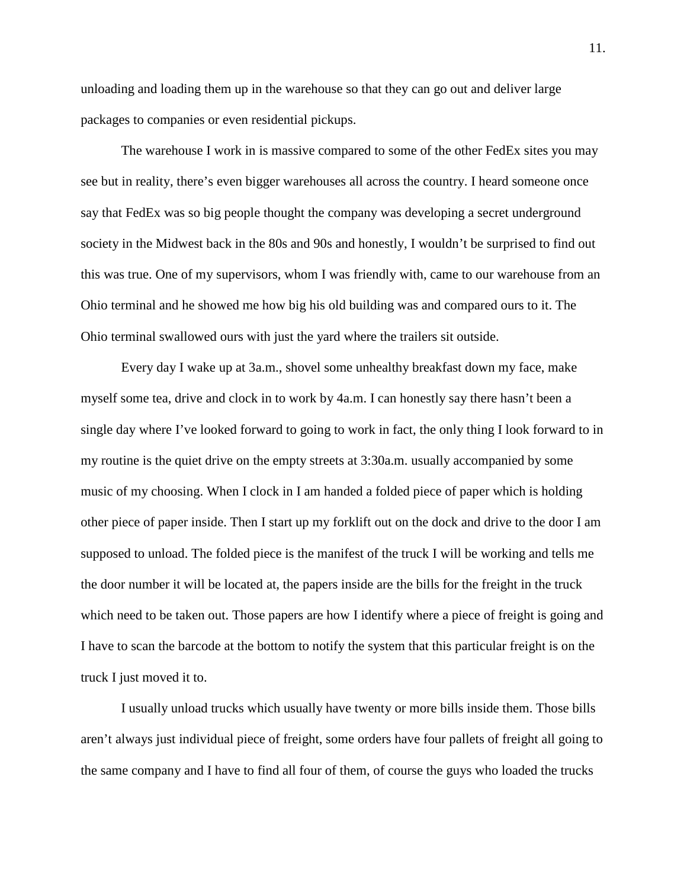unloading and loading them up in the warehouse so that they can go out and deliver large packages to companies or even residential pickups.

The warehouse I work in is massive compared to some of the other FedEx sites you may see but in reality, there's even bigger warehouses all across the country. I heard someone once say that FedEx was so big people thought the company was developing a secret underground society in the Midwest back in the 80s and 90s and honestly, I wouldn't be surprised to find out this was true. One of my supervisors, whom I was friendly with, came to our warehouse from an Ohio terminal and he showed me how big his old building was and compared ours to it. The Ohio terminal swallowed ours with just the yard where the trailers sit outside.

Every day I wake up at 3a.m., shovel some unhealthy breakfast down my face, make myself some tea, drive and clock in to work by 4a.m. I can honestly say there hasn't been a single day where I've looked forward to going to work in fact, the only thing I look forward to in my routine is the quiet drive on the empty streets at 3:30a.m. usually accompanied by some music of my choosing. When I clock in I am handed a folded piece of paper which is holding other piece of paper inside. Then I start up my forklift out on the dock and drive to the door I am supposed to unload. The folded piece is the manifest of the truck I will be working and tells me the door number it will be located at, the papers inside are the bills for the freight in the truck which need to be taken out. Those papers are how I identify where a piece of freight is going and I have to scan the barcode at the bottom to notify the system that this particular freight is on the truck I just moved it to.

I usually unload trucks which usually have twenty or more bills inside them. Those bills aren't always just individual piece of freight, some orders have four pallets of freight all going to the same company and I have to find all four of them, of course the guys who loaded the trucks

11.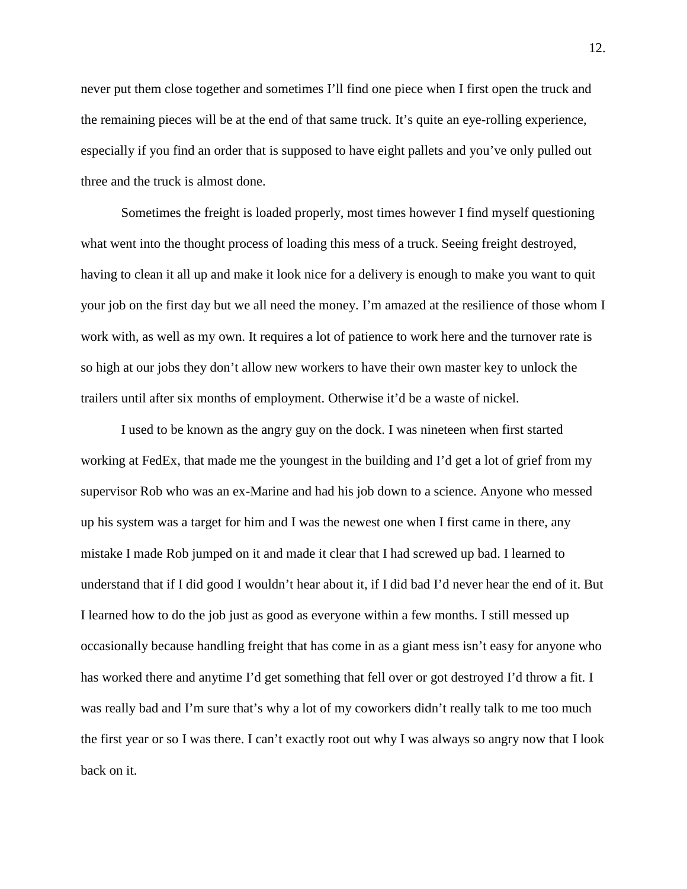never put them close together and sometimes I'll find one piece when I first open the truck and the remaining pieces will be at the end of that same truck. It's quite an eye-rolling experience, especially if you find an order that is supposed to have eight pallets and you've only pulled out three and the truck is almost done.

Sometimes the freight is loaded properly, most times however I find myself questioning what went into the thought process of loading this mess of a truck. Seeing freight destroyed, having to clean it all up and make it look nice for a delivery is enough to make you want to quit your job on the first day but we all need the money. I'm amazed at the resilience of those whom I work with, as well as my own. It requires a lot of patience to work here and the turnover rate is so high at our jobs they don't allow new workers to have their own master key to unlock the trailers until after six months of employment. Otherwise it'd be a waste of nickel.

I used to be known as the angry guy on the dock. I was nineteen when first started working at FedEx, that made me the youngest in the building and I'd get a lot of grief from my supervisor Rob who was an ex-Marine and had his job down to a science. Anyone who messed up his system was a target for him and I was the newest one when I first came in there, any mistake I made Rob jumped on it and made it clear that I had screwed up bad. I learned to understand that if I did good I wouldn't hear about it, if I did bad I'd never hear the end of it. But I learned how to do the job just as good as everyone within a few months. I still messed up occasionally because handling freight that has come in as a giant mess isn't easy for anyone who has worked there and anytime I'd get something that fell over or got destroyed I'd throw a fit. I was really bad and I'm sure that's why a lot of my coworkers didn't really talk to me too much the first year or so I was there. I can't exactly root out why I was always so angry now that I look back on it.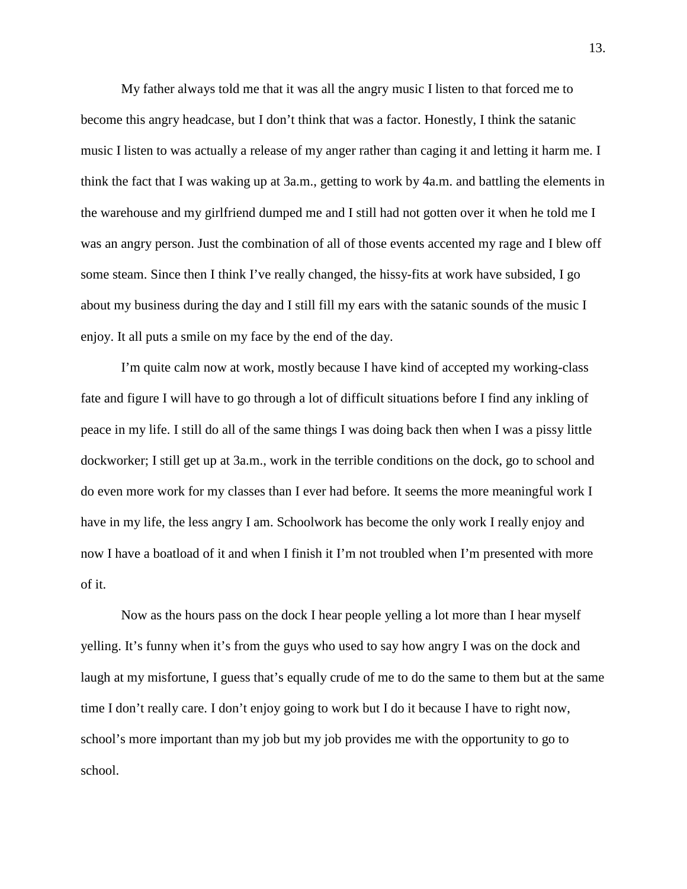My father always told me that it was all the angry music I listen to that forced me to become this angry headcase, but I don't think that was a factor. Honestly, I think the satanic music I listen to was actually a release of my anger rather than caging it and letting it harm me. I think the fact that I was waking up at 3a.m., getting to work by 4a.m. and battling the elements in the warehouse and my girlfriend dumped me and I still had not gotten over it when he told me I was an angry person. Just the combination of all of those events accented my rage and I blew off some steam. Since then I think I've really changed, the hissy-fits at work have subsided, I go about my business during the day and I still fill my ears with the satanic sounds of the music I enjoy. It all puts a smile on my face by the end of the day.

I'm quite calm now at work, mostly because I have kind of accepted my working-class fate and figure I will have to go through a lot of difficult situations before I find any inkling of peace in my life. I still do all of the same things I was doing back then when I was a pissy little dockworker; I still get up at 3a.m., work in the terrible conditions on the dock, go to school and do even more work for my classes than I ever had before. It seems the more meaningful work I have in my life, the less angry I am. Schoolwork has become the only work I really enjoy and now I have a boatload of it and when I finish it I'm not troubled when I'm presented with more of it.

Now as the hours pass on the dock I hear people yelling a lot more than I hear myself yelling. It's funny when it's from the guys who used to say how angry I was on the dock and laugh at my misfortune, I guess that's equally crude of me to do the same to them but at the same time I don't really care. I don't enjoy going to work but I do it because I have to right now, school's more important than my job but my job provides me with the opportunity to go to school.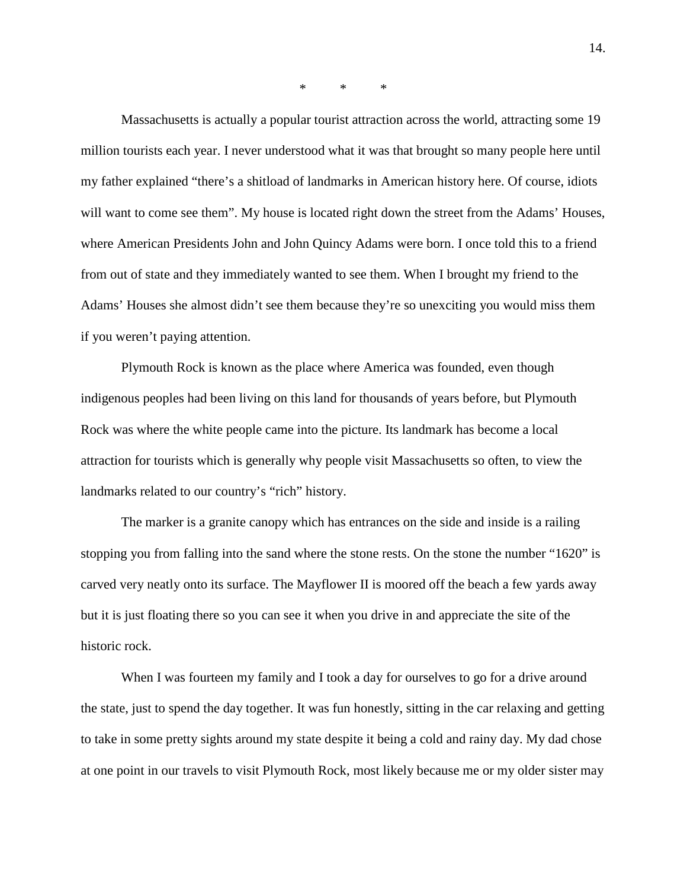\* \* \*

Massachusetts is actually a popular tourist attraction across the world, attracting some 19 million tourists each year. I never understood what it was that brought so many people here until my father explained "there's a shitload of landmarks in American history here. Of course, idiots will want to come see them". My house is located right down the street from the Adams' Houses, where American Presidents John and John Quincy Adams were born. I once told this to a friend from out of state and they immediately wanted to see them. When I brought my friend to the Adams' Houses she almost didn't see them because they're so unexciting you would miss them if you weren't paying attention.

Plymouth Rock is known as the place where America was founded, even though indigenous peoples had been living on this land for thousands of years before, but Plymouth Rock was where the white people came into the picture. Its landmark has become a local attraction for tourists which is generally why people visit Massachusetts so often, to view the landmarks related to our country's "rich" history.

The marker is a granite canopy which has entrances on the side and inside is a railing stopping you from falling into the sand where the stone rests. On the stone the number "1620" is carved very neatly onto its surface. The Mayflower II is moored off the beach a few yards away but it is just floating there so you can see it when you drive in and appreciate the site of the historic rock.

When I was fourteen my family and I took a day for ourselves to go for a drive around the state, just to spend the day together. It was fun honestly, sitting in the car relaxing and getting to take in some pretty sights around my state despite it being a cold and rainy day. My dad chose at one point in our travels to visit Plymouth Rock, most likely because me or my older sister may

14.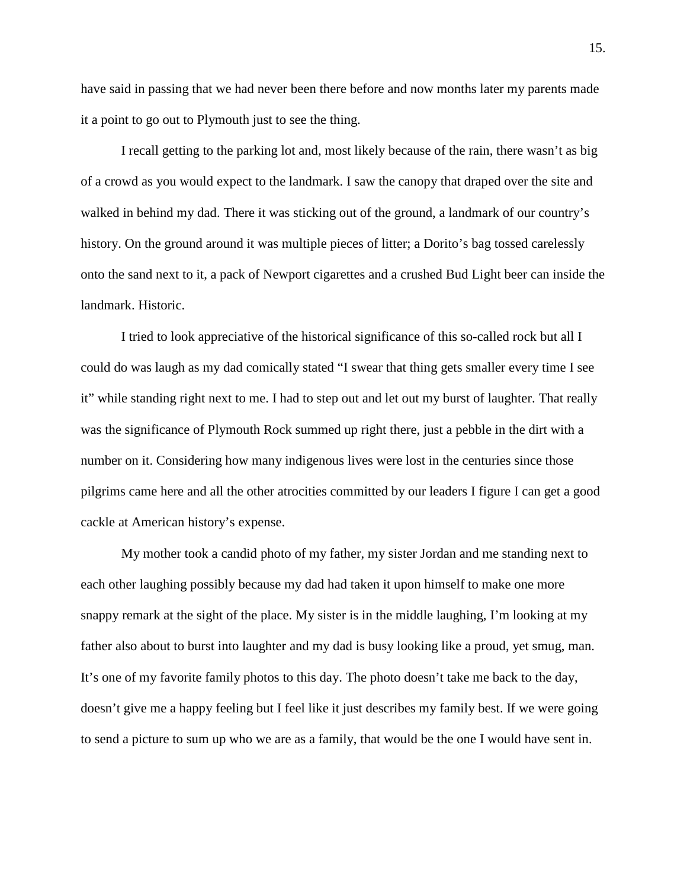have said in passing that we had never been there before and now months later my parents made it a point to go out to Plymouth just to see the thing.

I recall getting to the parking lot and, most likely because of the rain, there wasn't as big of a crowd as you would expect to the landmark. I saw the canopy that draped over the site and walked in behind my dad. There it was sticking out of the ground, a landmark of our country's history. On the ground around it was multiple pieces of litter; a Dorito's bag tossed carelessly onto the sand next to it, a pack of Newport cigarettes and a crushed Bud Light beer can inside the landmark. Historic.

I tried to look appreciative of the historical significance of this so-called rock but all I could do was laugh as my dad comically stated "I swear that thing gets smaller every time I see it" while standing right next to me. I had to step out and let out my burst of laughter. That really was the significance of Plymouth Rock summed up right there, just a pebble in the dirt with a number on it. Considering how many indigenous lives were lost in the centuries since those pilgrims came here and all the other atrocities committed by our leaders I figure I can get a good cackle at American history's expense.

My mother took a candid photo of my father, my sister Jordan and me standing next to each other laughing possibly because my dad had taken it upon himself to make one more snappy remark at the sight of the place. My sister is in the middle laughing, I'm looking at my father also about to burst into laughter and my dad is busy looking like a proud, yet smug, man. It's one of my favorite family photos to this day. The photo doesn't take me back to the day, doesn't give me a happy feeling but I feel like it just describes my family best. If we were going to send a picture to sum up who we are as a family, that would be the one I would have sent in.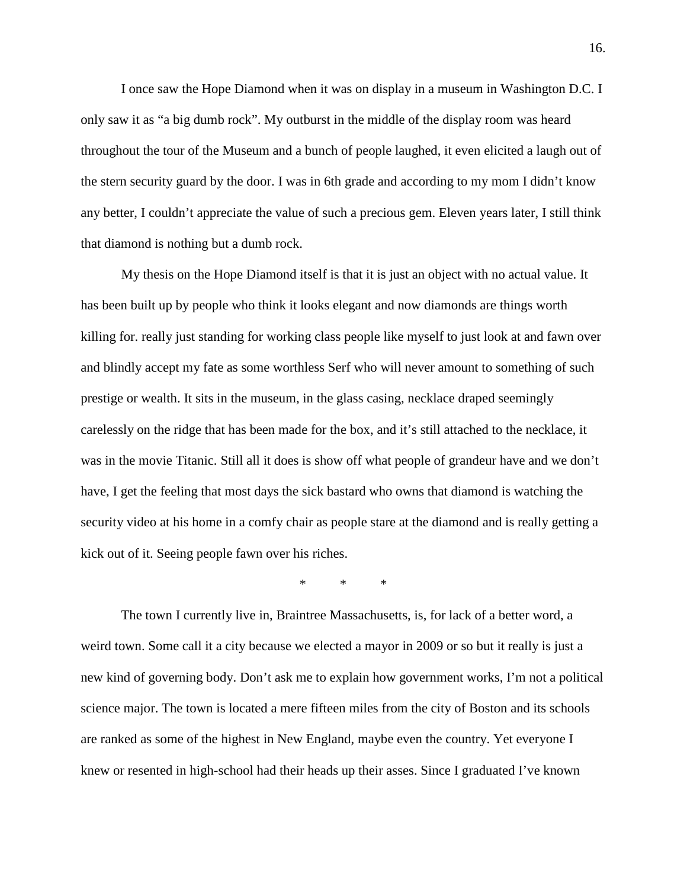I once saw the Hope Diamond when it was on display in a museum in Washington D.C. I only saw it as "a big dumb rock". My outburst in the middle of the display room was heard throughout the tour of the Museum and a bunch of people laughed, it even elicited a laugh out of the stern security guard by the door. I was in 6th grade and according to my mom I didn't know any better, I couldn't appreciate the value of such a precious gem. Eleven years later, I still think that diamond is nothing but a dumb rock.

My thesis on the Hope Diamond itself is that it is just an object with no actual value. It has been built up by people who think it looks elegant and now diamonds are things worth killing for. really just standing for working class people like myself to just look at and fawn over and blindly accept my fate as some worthless Serf who will never amount to something of such prestige or wealth. It sits in the museum, in the glass casing, necklace draped seemingly carelessly on the ridge that has been made for the box, and it's still attached to the necklace, it was in the movie Titanic. Still all it does is show off what people of grandeur have and we don't have, I get the feeling that most days the sick bastard who owns that diamond is watching the security video at his home in a comfy chair as people stare at the diamond and is really getting a kick out of it. Seeing people fawn over his riches.

\* \* \*

The town I currently live in, Braintree Massachusetts, is, for lack of a better word, a weird town. Some call it a city because we elected a mayor in 2009 or so but it really is just a new kind of governing body. Don't ask me to explain how government works, I'm not a political science major. The town is located a mere fifteen miles from the city of Boston and its schools are ranked as some of the highest in New England, maybe even the country. Yet everyone I knew or resented in high-school had their heads up their asses. Since I graduated I've known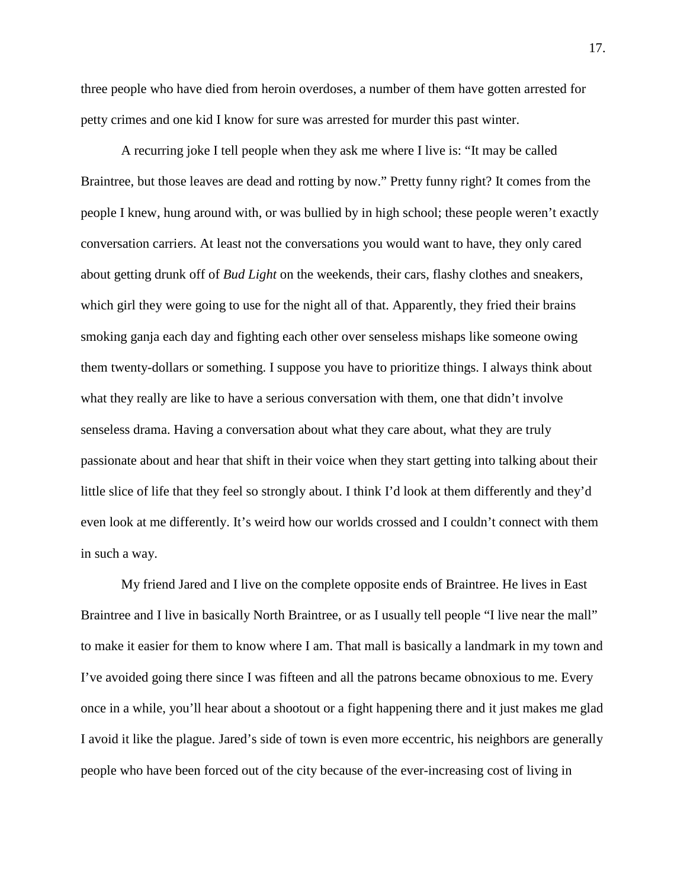three people who have died from heroin overdoses, a number of them have gotten arrested for petty crimes and one kid I know for sure was arrested for murder this past winter.

A recurring joke I tell people when they ask me where I live is: "It may be called Braintree, but those leaves are dead and rotting by now." Pretty funny right? It comes from the people I knew, hung around with, or was bullied by in high school; these people weren't exactly conversation carriers. At least not the conversations you would want to have, they only cared about getting drunk off of *Bud Light* on the weekends, their cars, flashy clothes and sneakers, which girl they were going to use for the night all of that. Apparently, they fried their brains smoking ganja each day and fighting each other over senseless mishaps like someone owing them twenty-dollars or something. I suppose you have to prioritize things. I always think about what they really are like to have a serious conversation with them, one that didn't involve senseless drama. Having a conversation about what they care about, what they are truly passionate about and hear that shift in their voice when they start getting into talking about their little slice of life that they feel so strongly about. I think I'd look at them differently and they'd even look at me differently. It's weird how our worlds crossed and I couldn't connect with them in such a way.

My friend Jared and I live on the complete opposite ends of Braintree. He lives in East Braintree and I live in basically North Braintree, or as I usually tell people "I live near the mall" to make it easier for them to know where I am. That mall is basically a landmark in my town and I've avoided going there since I was fifteen and all the patrons became obnoxious to me. Every once in a while, you'll hear about a shootout or a fight happening there and it just makes me glad I avoid it like the plague. Jared's side of town is even more eccentric, his neighbors are generally people who have been forced out of the city because of the ever-increasing cost of living in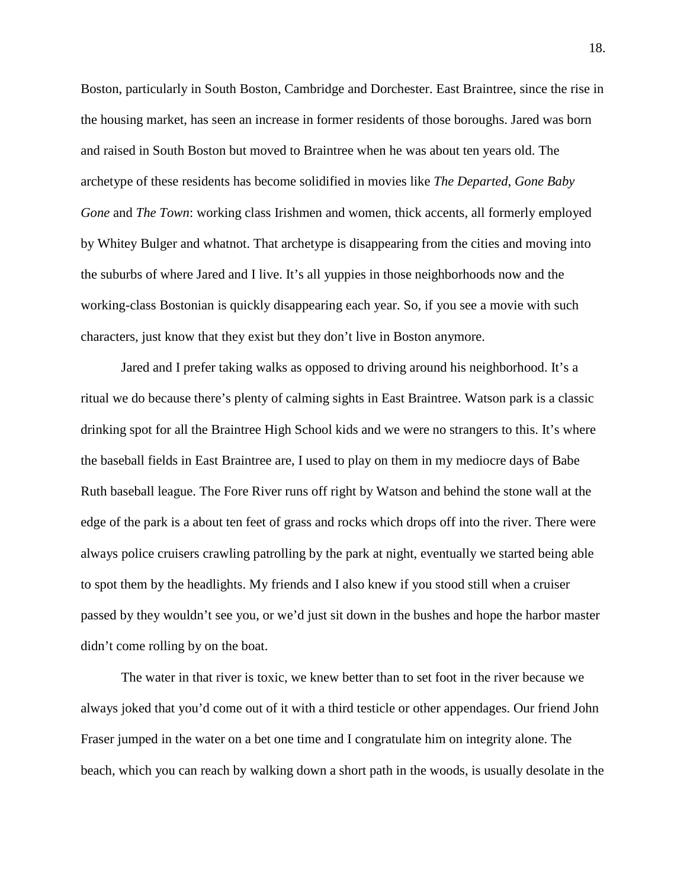Boston, particularly in South Boston, Cambridge and Dorchester. East Braintree, since the rise in the housing market, has seen an increase in former residents of those boroughs. Jared was born and raised in South Boston but moved to Braintree when he was about ten years old. The archetype of these residents has become solidified in movies like *The Departed*, *Gone Baby Gone* and *The Town*: working class Irishmen and women, thick accents, all formerly employed by Whitey Bulger and whatnot. That archetype is disappearing from the cities and moving into the suburbs of where Jared and I live. It's all yuppies in those neighborhoods now and the working-class Bostonian is quickly disappearing each year. So, if you see a movie with such characters, just know that they exist but they don't live in Boston anymore.

Jared and I prefer taking walks as opposed to driving around his neighborhood. It's a ritual we do because there's plenty of calming sights in East Braintree. Watson park is a classic drinking spot for all the Braintree High School kids and we were no strangers to this. It's where the baseball fields in East Braintree are, I used to play on them in my mediocre days of Babe Ruth baseball league. The Fore River runs off right by Watson and behind the stone wall at the edge of the park is a about ten feet of grass and rocks which drops off into the river. There were always police cruisers crawling patrolling by the park at night, eventually we started being able to spot them by the headlights. My friends and I also knew if you stood still when a cruiser passed by they wouldn't see you, or we'd just sit down in the bushes and hope the harbor master didn't come rolling by on the boat.

The water in that river is toxic, we knew better than to set foot in the river because we always joked that you'd come out of it with a third testicle or other appendages. Our friend John Fraser jumped in the water on a bet one time and I congratulate him on integrity alone. The beach, which you can reach by walking down a short path in the woods, is usually desolate in the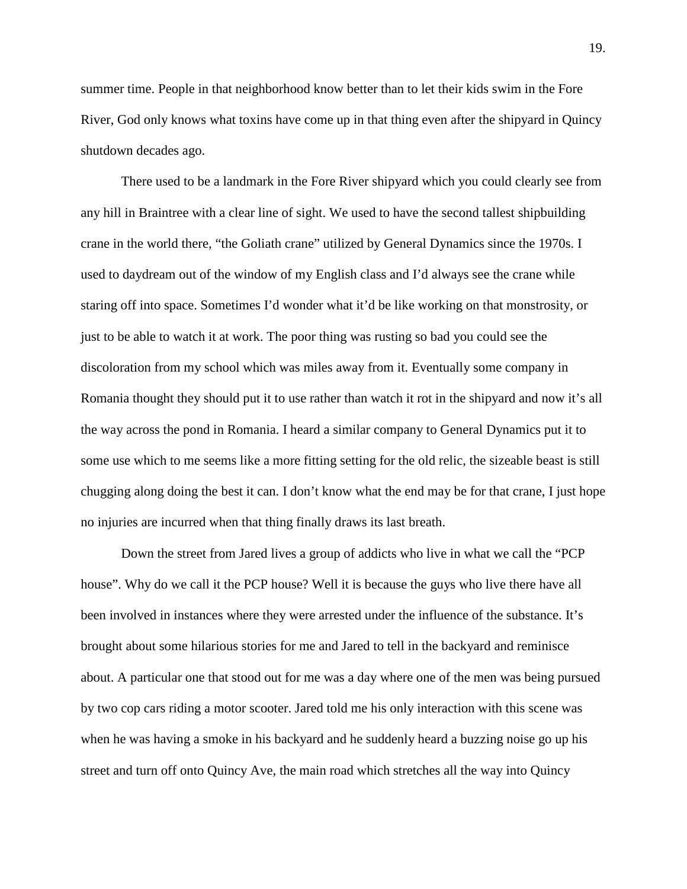summer time. People in that neighborhood know better than to let their kids swim in the Fore River, God only knows what toxins have come up in that thing even after the shipyard in Quincy shutdown decades ago.

There used to be a landmark in the Fore River shipyard which you could clearly see from any hill in Braintree with a clear line of sight. We used to have the second tallest shipbuilding crane in the world there, "the Goliath crane" utilized by General Dynamics since the 1970s. I used to daydream out of the window of my English class and I'd always see the crane while staring off into space. Sometimes I'd wonder what it'd be like working on that monstrosity, or just to be able to watch it at work. The poor thing was rusting so bad you could see the discoloration from my school which was miles away from it. Eventually some company in Romania thought they should put it to use rather than watch it rot in the shipyard and now it's all the way across the pond in Romania. I heard a similar company to General Dynamics put it to some use which to me seems like a more fitting setting for the old relic, the sizeable beast is still chugging along doing the best it can. I don't know what the end may be for that crane, I just hope no injuries are incurred when that thing finally draws its last breath.

Down the street from Jared lives a group of addicts who live in what we call the "PCP house". Why do we call it the PCP house? Well it is because the guys who live there have all been involved in instances where they were arrested under the influence of the substance. It's brought about some hilarious stories for me and Jared to tell in the backyard and reminisce about. A particular one that stood out for me was a day where one of the men was being pursued by two cop cars riding a motor scooter. Jared told me his only interaction with this scene was when he was having a smoke in his backyard and he suddenly heard a buzzing noise go up his street and turn off onto Quincy Ave, the main road which stretches all the way into Quincy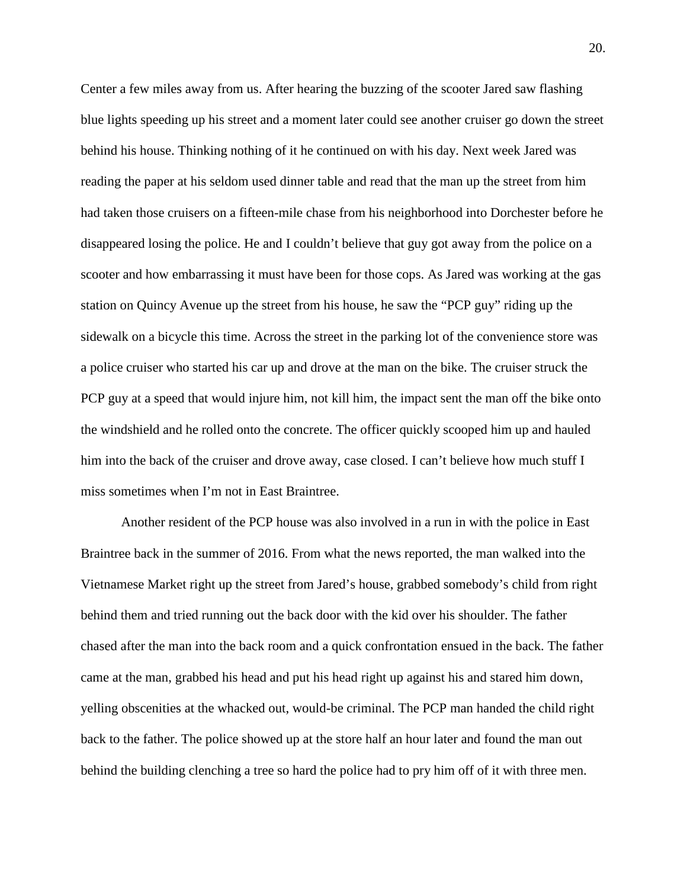Center a few miles away from us. After hearing the buzzing of the scooter Jared saw flashing blue lights speeding up his street and a moment later could see another cruiser go down the street behind his house. Thinking nothing of it he continued on with his day. Next week Jared was reading the paper at his seldom used dinner table and read that the man up the street from him had taken those cruisers on a fifteen-mile chase from his neighborhood into Dorchester before he disappeared losing the police. He and I couldn't believe that guy got away from the police on a scooter and how embarrassing it must have been for those cops. As Jared was working at the gas station on Quincy Avenue up the street from his house, he saw the "PCP guy" riding up the sidewalk on a bicycle this time. Across the street in the parking lot of the convenience store was a police cruiser who started his car up and drove at the man on the bike. The cruiser struck the PCP guy at a speed that would injure him, not kill him, the impact sent the man off the bike onto the windshield and he rolled onto the concrete. The officer quickly scooped him up and hauled him into the back of the cruiser and drove away, case closed. I can't believe how much stuff I miss sometimes when I'm not in East Braintree.

Another resident of the PCP house was also involved in a run in with the police in East Braintree back in the summer of 2016. From what the news reported, the man walked into the Vietnamese Market right up the street from Jared's house, grabbed somebody's child from right behind them and tried running out the back door with the kid over his shoulder. The father chased after the man into the back room and a quick confrontation ensued in the back. The father came at the man, grabbed his head and put his head right up against his and stared him down, yelling obscenities at the whacked out, would-be criminal. The PCP man handed the child right back to the father. The police showed up at the store half an hour later and found the man out behind the building clenching a tree so hard the police had to pry him off of it with three men.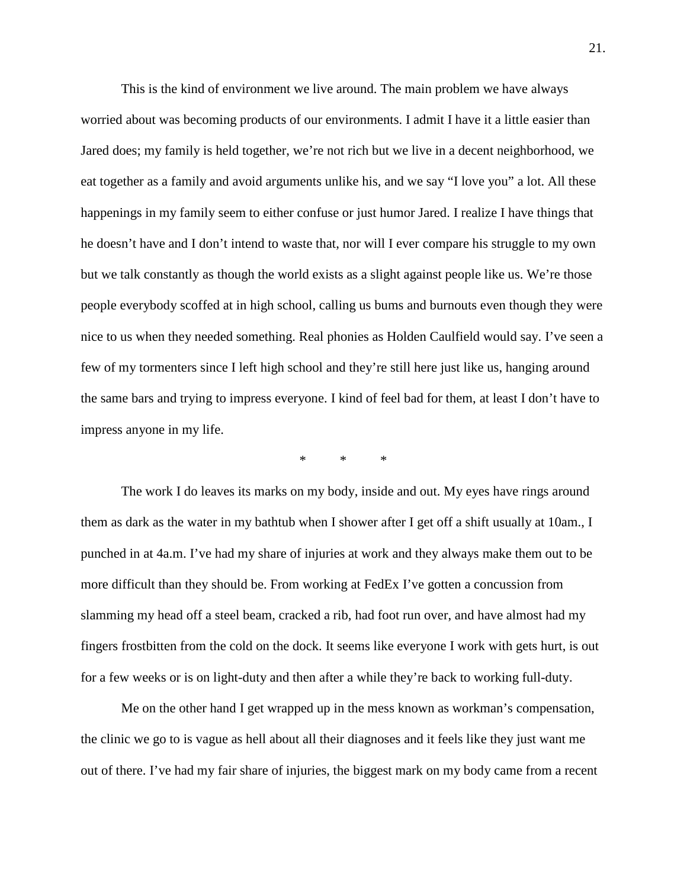This is the kind of environment we live around. The main problem we have always worried about was becoming products of our environments. I admit I have it a little easier than Jared does; my family is held together, we're not rich but we live in a decent neighborhood, we eat together as a family and avoid arguments unlike his, and we say "I love you" a lot. All these happenings in my family seem to either confuse or just humor Jared. I realize I have things that he doesn't have and I don't intend to waste that, nor will I ever compare his struggle to my own but we talk constantly as though the world exists as a slight against people like us. We're those people everybody scoffed at in high school, calling us bums and burnouts even though they were nice to us when they needed something. Real phonies as Holden Caulfield would say. I've seen a few of my tormenters since I left high school and they're still here just like us, hanging around the same bars and trying to impress everyone. I kind of feel bad for them, at least I don't have to impress anyone in my life.

\* \* \*

The work I do leaves its marks on my body, inside and out. My eyes have rings around them as dark as the water in my bathtub when I shower after I get off a shift usually at 10am., I punched in at 4a.m. I've had my share of injuries at work and they always make them out to be more difficult than they should be. From working at FedEx I've gotten a concussion from slamming my head off a steel beam, cracked a rib, had foot run over, and have almost had my fingers frostbitten from the cold on the dock. It seems like everyone I work with gets hurt, is out for a few weeks or is on light-duty and then after a while they're back to working full-duty.

Me on the other hand I get wrapped up in the mess known as workman's compensation, the clinic we go to is vague as hell about all their diagnoses and it feels like they just want me out of there. I've had my fair share of injuries, the biggest mark on my body came from a recent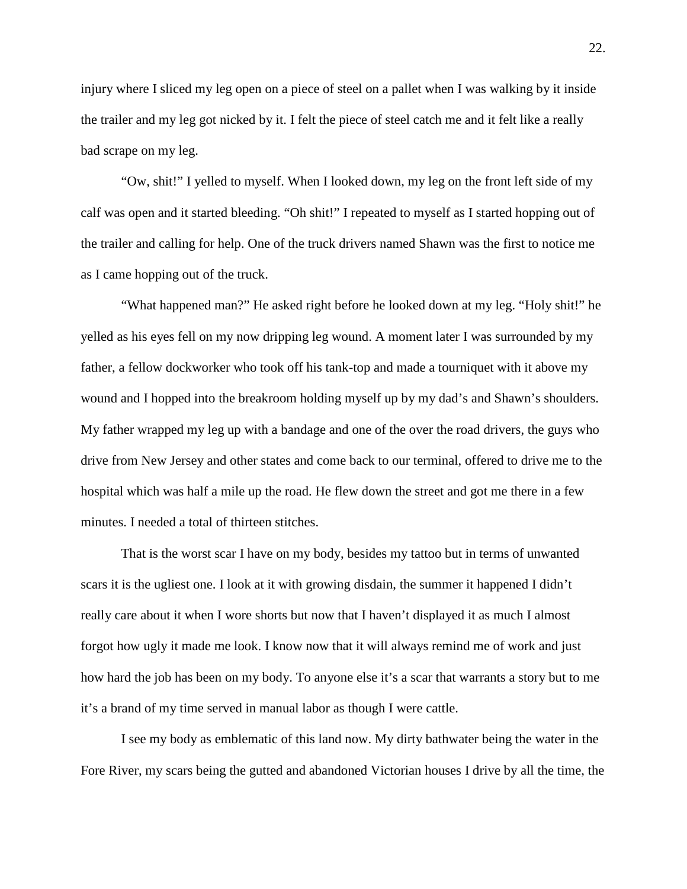injury where I sliced my leg open on a piece of steel on a pallet when I was walking by it inside the trailer and my leg got nicked by it. I felt the piece of steel catch me and it felt like a really bad scrape on my leg.

"Ow, shit!" I yelled to myself. When I looked down, my leg on the front left side of my calf was open and it started bleeding. "Oh shit!" I repeated to myself as I started hopping out of the trailer and calling for help. One of the truck drivers named Shawn was the first to notice me as I came hopping out of the truck.

"What happened man?" He asked right before he looked down at my leg. "Holy shit!" he yelled as his eyes fell on my now dripping leg wound. A moment later I was surrounded by my father, a fellow dockworker who took off his tank-top and made a tourniquet with it above my wound and I hopped into the breakroom holding myself up by my dad's and Shawn's shoulders. My father wrapped my leg up with a bandage and one of the over the road drivers, the guys who drive from New Jersey and other states and come back to our terminal, offered to drive me to the hospital which was half a mile up the road. He flew down the street and got me there in a few minutes. I needed a total of thirteen stitches.

That is the worst scar I have on my body, besides my tattoo but in terms of unwanted scars it is the ugliest one. I look at it with growing disdain, the summer it happened I didn't really care about it when I wore shorts but now that I haven't displayed it as much I almost forgot how ugly it made me look. I know now that it will always remind me of work and just how hard the job has been on my body. To anyone else it's a scar that warrants a story but to me it's a brand of my time served in manual labor as though I were cattle.

I see my body as emblematic of this land now. My dirty bathwater being the water in the Fore River, my scars being the gutted and abandoned Victorian houses I drive by all the time, the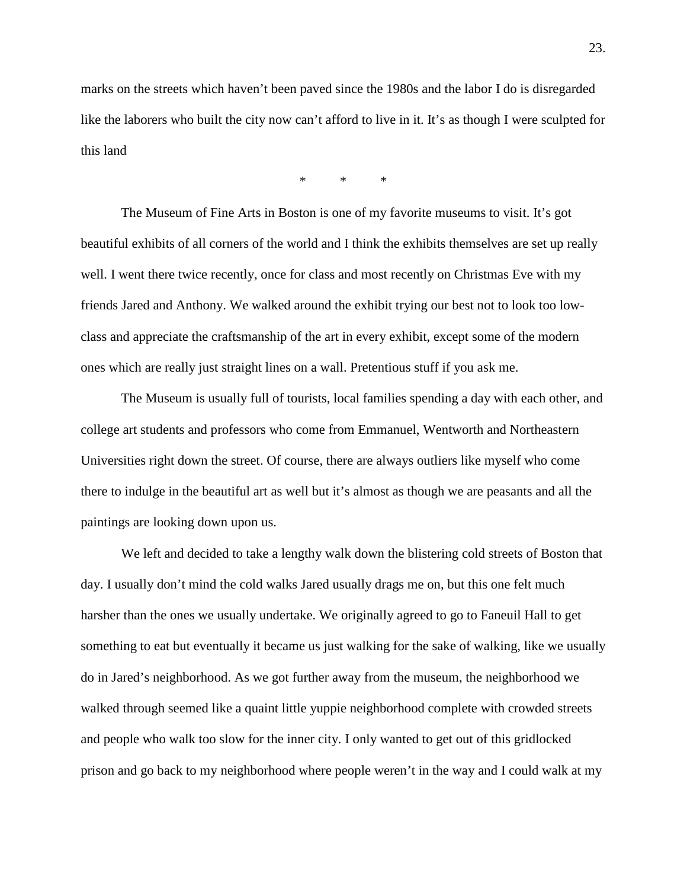marks on the streets which haven't been paved since the 1980s and the labor I do is disregarded like the laborers who built the city now can't afford to live in it. It's as though I were sculpted for this land

\* \* \*

The Museum of Fine Arts in Boston is one of my favorite museums to visit. It's got beautiful exhibits of all corners of the world and I think the exhibits themselves are set up really well. I went there twice recently, once for class and most recently on Christmas Eve with my friends Jared and Anthony. We walked around the exhibit trying our best not to look too lowclass and appreciate the craftsmanship of the art in every exhibit, except some of the modern ones which are really just straight lines on a wall. Pretentious stuff if you ask me.

The Museum is usually full of tourists, local families spending a day with each other, and college art students and professors who come from Emmanuel, Wentworth and Northeastern Universities right down the street. Of course, there are always outliers like myself who come there to indulge in the beautiful art as well but it's almost as though we are peasants and all the paintings are looking down upon us.

We left and decided to take a lengthy walk down the blistering cold streets of Boston that day. I usually don't mind the cold walks Jared usually drags me on, but this one felt much harsher than the ones we usually undertake. We originally agreed to go to Faneuil Hall to get something to eat but eventually it became us just walking for the sake of walking, like we usually do in Jared's neighborhood. As we got further away from the museum, the neighborhood we walked through seemed like a quaint little yuppie neighborhood complete with crowded streets and people who walk too slow for the inner city. I only wanted to get out of this gridlocked prison and go back to my neighborhood where people weren't in the way and I could walk at my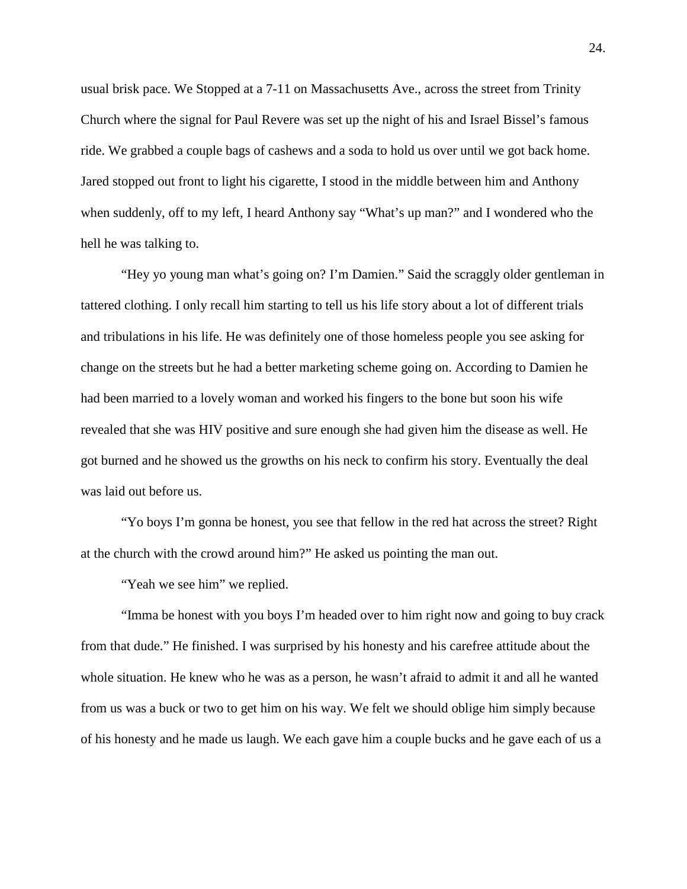usual brisk pace. We Stopped at a 7-11 on Massachusetts Ave., across the street from Trinity Church where the signal for Paul Revere was set up the night of his and Israel Bissel's famous ride. We grabbed a couple bags of cashews and a soda to hold us over until we got back home. Jared stopped out front to light his cigarette, I stood in the middle between him and Anthony when suddenly, off to my left, I heard Anthony say "What's up man?" and I wondered who the hell he was talking to.

"Hey yo young man what's going on? I'm Damien." Said the scraggly older gentleman in tattered clothing. I only recall him starting to tell us his life story about a lot of different trials and tribulations in his life. He was definitely one of those homeless people you see asking for change on the streets but he had a better marketing scheme going on. According to Damien he had been married to a lovely woman and worked his fingers to the bone but soon his wife revealed that she was HIV positive and sure enough she had given him the disease as well. He got burned and he showed us the growths on his neck to confirm his story. Eventually the deal was laid out before us.

"Yo boys I'm gonna be honest, you see that fellow in the red hat across the street? Right at the church with the crowd around him?" He asked us pointing the man out.

"Yeah we see him" we replied.

"Imma be honest with you boys I'm headed over to him right now and going to buy crack from that dude." He finished. I was surprised by his honesty and his carefree attitude about the whole situation. He knew who he was as a person, he wasn't afraid to admit it and all he wanted from us was a buck or two to get him on his way. We felt we should oblige him simply because of his honesty and he made us laugh. We each gave him a couple bucks and he gave each of us a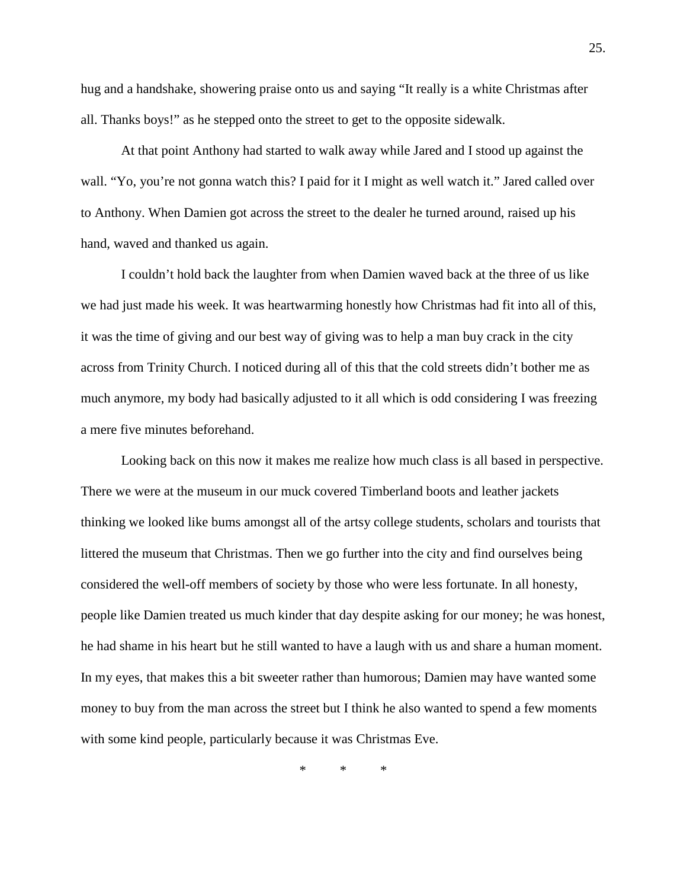hug and a handshake, showering praise onto us and saying "It really is a white Christmas after all. Thanks boys!" as he stepped onto the street to get to the opposite sidewalk.

At that point Anthony had started to walk away while Jared and I stood up against the wall. "Yo, you're not gonna watch this? I paid for it I might as well watch it." Jared called over to Anthony. When Damien got across the street to the dealer he turned around, raised up his hand, waved and thanked us again.

I couldn't hold back the laughter from when Damien waved back at the three of us like we had just made his week. It was heartwarming honestly how Christmas had fit into all of this, it was the time of giving and our best way of giving was to help a man buy crack in the city across from Trinity Church. I noticed during all of this that the cold streets didn't bother me as much anymore, my body had basically adjusted to it all which is odd considering I was freezing a mere five minutes beforehand.

Looking back on this now it makes me realize how much class is all based in perspective. There we were at the museum in our muck covered Timberland boots and leather jackets thinking we looked like bums amongst all of the artsy college students, scholars and tourists that littered the museum that Christmas. Then we go further into the city and find ourselves being considered the well-off members of society by those who were less fortunate. In all honesty, people like Damien treated us much kinder that day despite asking for our money; he was honest, he had shame in his heart but he still wanted to have a laugh with us and share a human moment. In my eyes, that makes this a bit sweeter rather than humorous; Damien may have wanted some money to buy from the man across the street but I think he also wanted to spend a few moments with some kind people, particularly because it was Christmas Eve.

\* \* \*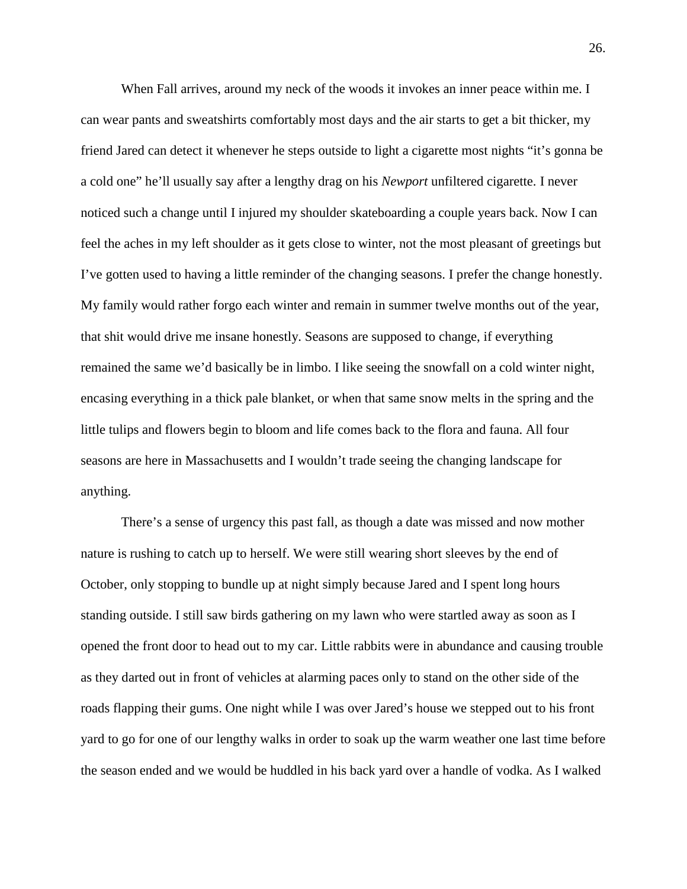When Fall arrives, around my neck of the woods it invokes an inner peace within me. I can wear pants and sweatshirts comfortably most days and the air starts to get a bit thicker, my friend Jared can detect it whenever he steps outside to light a cigarette most nights "it's gonna be a cold one" he'll usually say after a lengthy drag on his *Newport* unfiltered cigarette. I never noticed such a change until I injured my shoulder skateboarding a couple years back. Now I can feel the aches in my left shoulder as it gets close to winter, not the most pleasant of greetings but I've gotten used to having a little reminder of the changing seasons. I prefer the change honestly. My family would rather forgo each winter and remain in summer twelve months out of the year, that shit would drive me insane honestly. Seasons are supposed to change, if everything remained the same we'd basically be in limbo. I like seeing the snowfall on a cold winter night, encasing everything in a thick pale blanket, or when that same snow melts in the spring and the little tulips and flowers begin to bloom and life comes back to the flora and fauna. All four seasons are here in Massachusetts and I wouldn't trade seeing the changing landscape for anything.

There's a sense of urgency this past fall, as though a date was missed and now mother nature is rushing to catch up to herself. We were still wearing short sleeves by the end of October, only stopping to bundle up at night simply because Jared and I spent long hours standing outside. I still saw birds gathering on my lawn who were startled away as soon as I opened the front door to head out to my car. Little rabbits were in abundance and causing trouble as they darted out in front of vehicles at alarming paces only to stand on the other side of the roads flapping their gums. One night while I was over Jared's house we stepped out to his front yard to go for one of our lengthy walks in order to soak up the warm weather one last time before the season ended and we would be huddled in his back yard over a handle of vodka. As I walked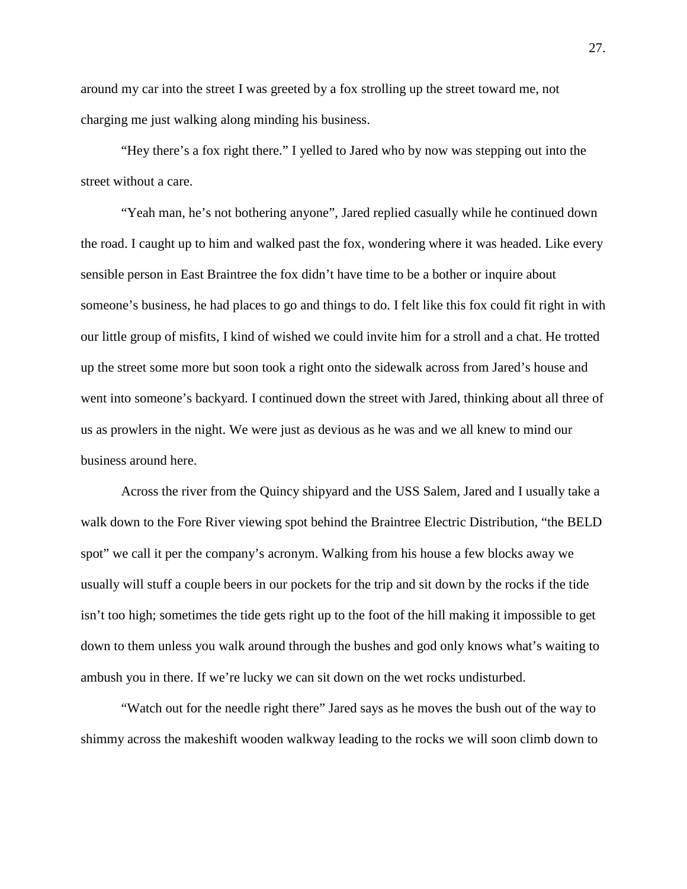around my car into the street I was greeted by a fox strolling up the street toward me, not charging me just walking along minding his business.

"Hey there's a fox right there." I yelled to Jared who by now was stepping out into the street without a care.

"Yeah man, he's not bothering anyone", Jared replied casually while he continued down the road. I caught up to him and walked past the fox, wondering where it was headed. Like every sensible person in East Braintree the fox didn't have time to be a bother or inquire about someone's business, he had places to go and things to do. I felt like this fox could fit right in with our little group of misfits, I kind of wished we could invite him for a stroll and a chat. He trotted up the street some more but soon took a right onto the sidewalk across from Jared's house and went into someone's backyard. I continued down the street with Jared, thinking about all three of us as prowlers in the night. We were just as devious as he was and we all knew to mind our business around here.

Across the river from the Quincy shipyard and the USS Salem, Jared and I usually take a walk down to the Fore River viewing spot behind the Braintree Electric Distribution, "the BELD spot" we call it per the company's acronym. Walking from his house a few blocks away we usually will stuff a couple beers in our pockets for the trip and sit down by the rocks if the tide isn't too high; sometimes the tide gets right up to the foot of the hill making it impossible to get down to them unless you walk around through the bushes and god only knows what's waiting to ambush you in there. If we're lucky we can sit down on the wet rocks undisturbed.

"Watch out for the needle right there" Jared says as he moves the bush out of the way to shimmy across the makeshift wooden walkway leading to the rocks we will soon climb down to

27.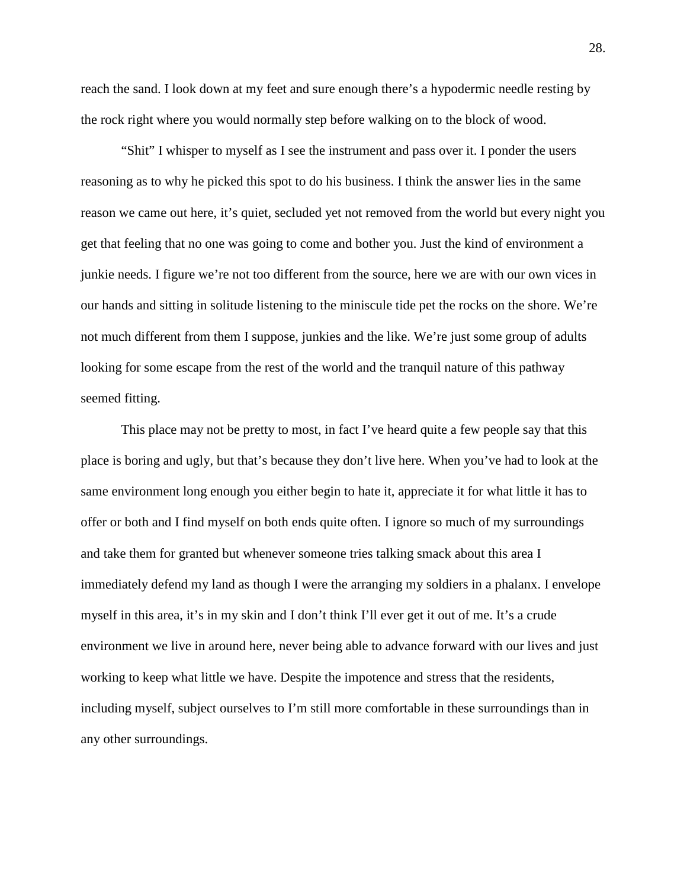reach the sand. I look down at my feet and sure enough there's a hypodermic needle resting by the rock right where you would normally step before walking on to the block of wood.

"Shit" I whisper to myself as I see the instrument and pass over it. I ponder the users reasoning as to why he picked this spot to do his business. I think the answer lies in the same reason we came out here, it's quiet, secluded yet not removed from the world but every night you get that feeling that no one was going to come and bother you. Just the kind of environment a junkie needs. I figure we're not too different from the source, here we are with our own vices in our hands and sitting in solitude listening to the miniscule tide pet the rocks on the shore. We're not much different from them I suppose, junkies and the like. We're just some group of adults looking for some escape from the rest of the world and the tranquil nature of this pathway seemed fitting.

This place may not be pretty to most, in fact I've heard quite a few people say that this place is boring and ugly, but that's because they don't live here. When you've had to look at the same environment long enough you either begin to hate it, appreciate it for what little it has to offer or both and I find myself on both ends quite often. I ignore so much of my surroundings and take them for granted but whenever someone tries talking smack about this area I immediately defend my land as though I were the arranging my soldiers in a phalanx. I envelope myself in this area, it's in my skin and I don't think I'll ever get it out of me. It's a crude environment we live in around here, never being able to advance forward with our lives and just working to keep what little we have. Despite the impotence and stress that the residents, including myself, subject ourselves to I'm still more comfortable in these surroundings than in any other surroundings.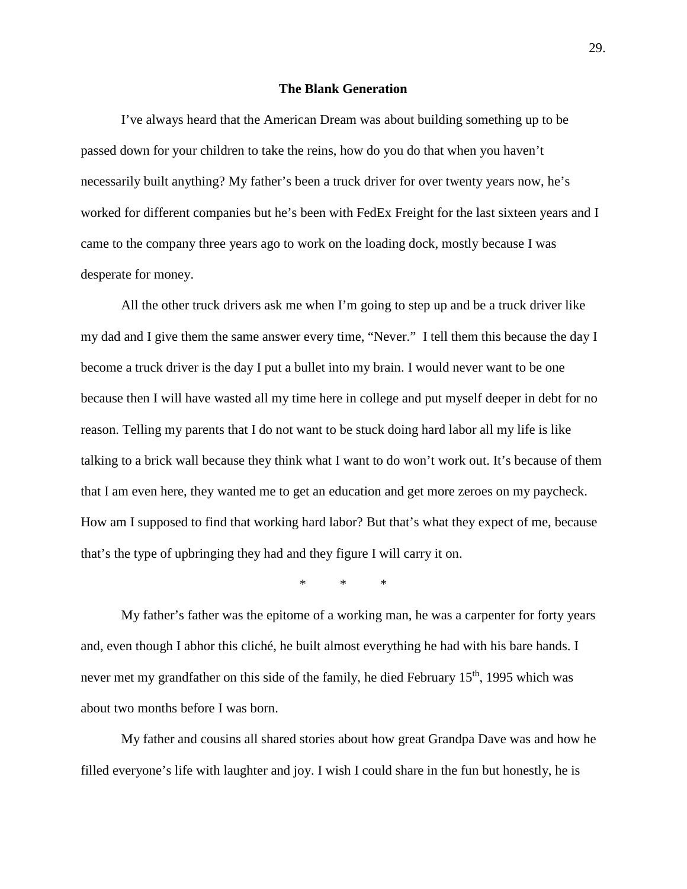## **The Blank Generation**

I've always heard that the American Dream was about building something up to be passed down for your children to take the reins, how do you do that when you haven't necessarily built anything? My father's been a truck driver for over twenty years now, he's worked for different companies but he's been with FedEx Freight for the last sixteen years and I came to the company three years ago to work on the loading dock, mostly because I was desperate for money.

All the other truck drivers ask me when I'm going to step up and be a truck driver like my dad and I give them the same answer every time, "Never." I tell them this because the day I become a truck driver is the day I put a bullet into my brain. I would never want to be one because then I will have wasted all my time here in college and put myself deeper in debt for no reason. Telling my parents that I do not want to be stuck doing hard labor all my life is like talking to a brick wall because they think what I want to do won't work out. It's because of them that I am even here, they wanted me to get an education and get more zeroes on my paycheck. How am I supposed to find that working hard labor? But that's what they expect of me, because that's the type of upbringing they had and they figure I will carry it on.

\* \* \*

My father's father was the epitome of a working man, he was a carpenter for forty years and, even though I abhor this cliché, he built almost everything he had with his bare hands. I never met my grandfather on this side of the family, he died February 15<sup>th</sup>, 1995 which was about two months before I was born.

My father and cousins all shared stories about how great Grandpa Dave was and how he filled everyone's life with laughter and joy. I wish I could share in the fun but honestly, he is

29.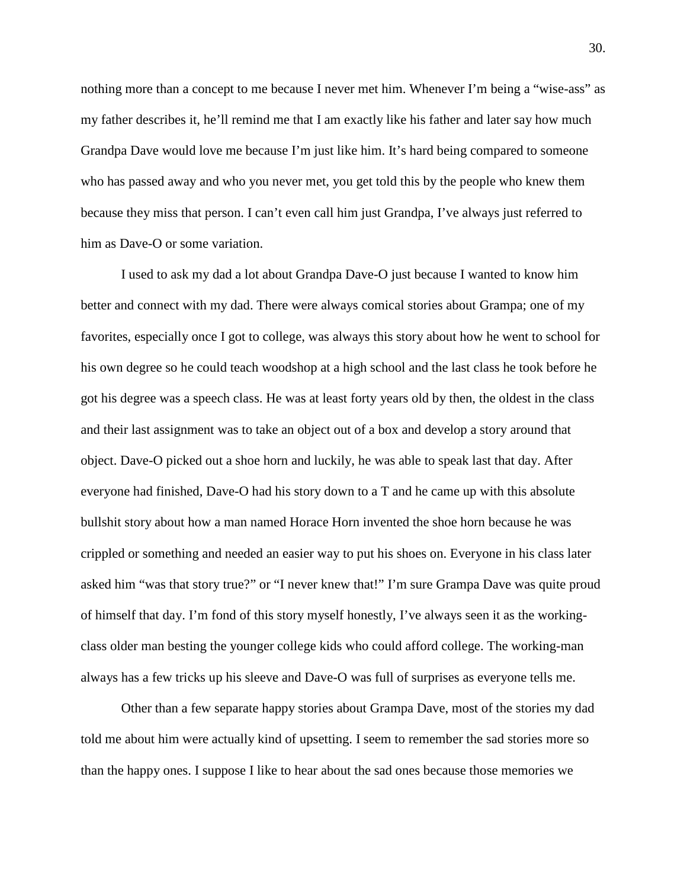nothing more than a concept to me because I never met him. Whenever I'm being a "wise-ass" as my father describes it, he'll remind me that I am exactly like his father and later say how much Grandpa Dave would love me because I'm just like him. It's hard being compared to someone who has passed away and who you never met, you get told this by the people who knew them because they miss that person. I can't even call him just Grandpa, I've always just referred to him as Dave-O or some variation.

I used to ask my dad a lot about Grandpa Dave-O just because I wanted to know him better and connect with my dad. There were always comical stories about Grampa; one of my favorites, especially once I got to college, was always this story about how he went to school for his own degree so he could teach woodshop at a high school and the last class he took before he got his degree was a speech class. He was at least forty years old by then, the oldest in the class and their last assignment was to take an object out of a box and develop a story around that object. Dave-O picked out a shoe horn and luckily, he was able to speak last that day. After everyone had finished, Dave-O had his story down to a T and he came up with this absolute bullshit story about how a man named Horace Horn invented the shoe horn because he was crippled or something and needed an easier way to put his shoes on. Everyone in his class later asked him "was that story true?" or "I never knew that!" I'm sure Grampa Dave was quite proud of himself that day. I'm fond of this story myself honestly, I've always seen it as the workingclass older man besting the younger college kids who could afford college. The working-man always has a few tricks up his sleeve and Dave-O was full of surprises as everyone tells me.

Other than a few separate happy stories about Grampa Dave, most of the stories my dad told me about him were actually kind of upsetting. I seem to remember the sad stories more so than the happy ones. I suppose I like to hear about the sad ones because those memories we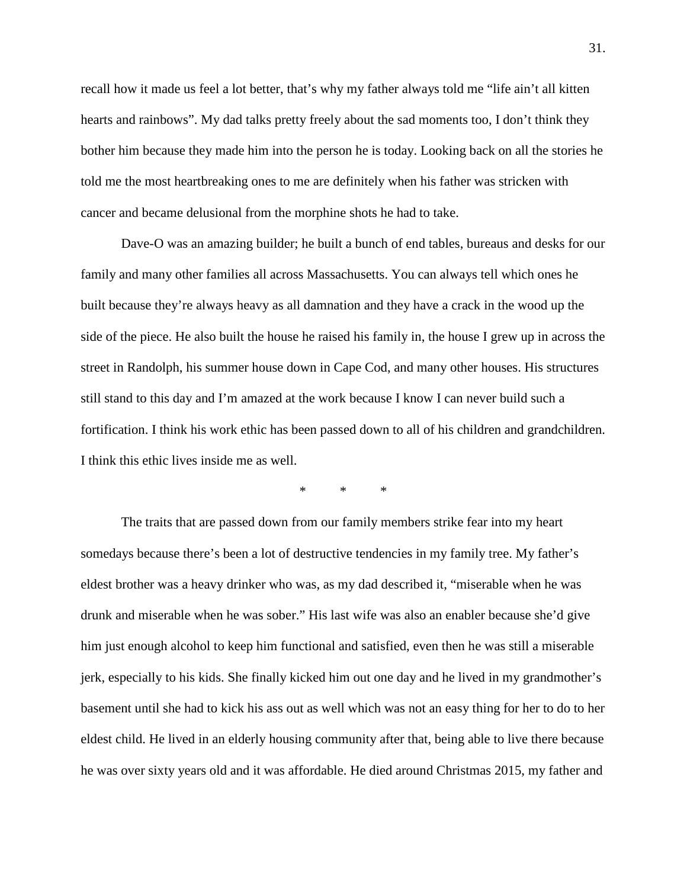recall how it made us feel a lot better, that's why my father always told me "life ain't all kitten hearts and rainbows". My dad talks pretty freely about the sad moments too, I don't think they bother him because they made him into the person he is today. Looking back on all the stories he told me the most heartbreaking ones to me are definitely when his father was stricken with cancer and became delusional from the morphine shots he had to take.

Dave-O was an amazing builder; he built a bunch of end tables, bureaus and desks for our family and many other families all across Massachusetts. You can always tell which ones he built because they're always heavy as all damnation and they have a crack in the wood up the side of the piece. He also built the house he raised his family in, the house I grew up in across the street in Randolph, his summer house down in Cape Cod, and many other houses. His structures still stand to this day and I'm amazed at the work because I know I can never build such a fortification. I think his work ethic has been passed down to all of his children and grandchildren. I think this ethic lives inside me as well.

\* \* \*

The traits that are passed down from our family members strike fear into my heart somedays because there's been a lot of destructive tendencies in my family tree. My father's eldest brother was a heavy drinker who was, as my dad described it, "miserable when he was drunk and miserable when he was sober." His last wife was also an enabler because she'd give him just enough alcohol to keep him functional and satisfied, even then he was still a miserable jerk, especially to his kids. She finally kicked him out one day and he lived in my grandmother's basement until she had to kick his ass out as well which was not an easy thing for her to do to her eldest child. He lived in an elderly housing community after that, being able to live there because he was over sixty years old and it was affordable. He died around Christmas 2015, my father and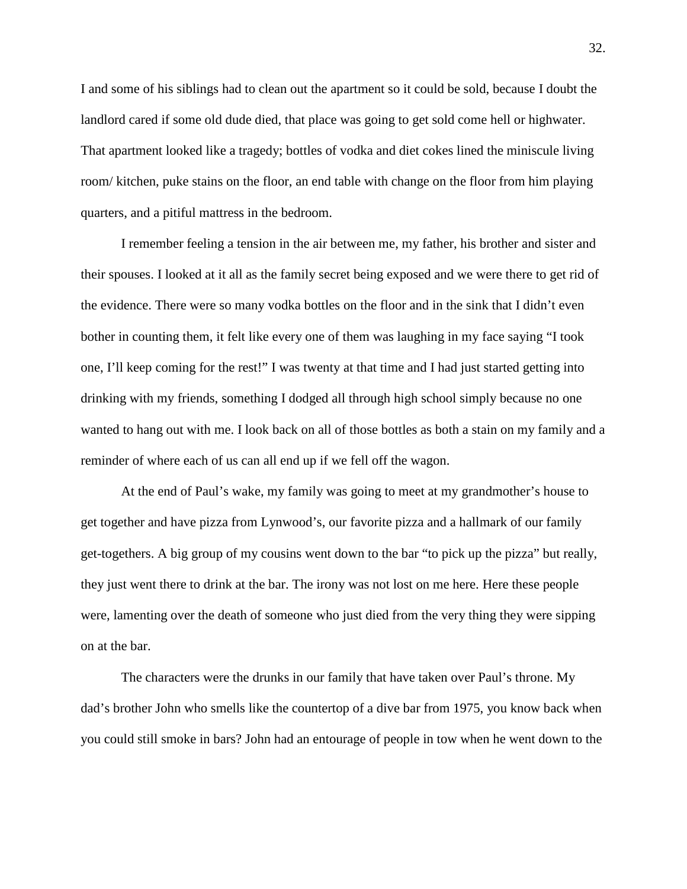I and some of his siblings had to clean out the apartment so it could be sold, because I doubt the landlord cared if some old dude died, that place was going to get sold come hell or highwater. That apartment looked like a tragedy; bottles of vodka and diet cokes lined the miniscule living room/ kitchen, puke stains on the floor, an end table with change on the floor from him playing quarters, and a pitiful mattress in the bedroom.

I remember feeling a tension in the air between me, my father, his brother and sister and their spouses. I looked at it all as the family secret being exposed and we were there to get rid of the evidence. There were so many vodka bottles on the floor and in the sink that I didn't even bother in counting them, it felt like every one of them was laughing in my face saying "I took one, I'll keep coming for the rest!" I was twenty at that time and I had just started getting into drinking with my friends, something I dodged all through high school simply because no one wanted to hang out with me. I look back on all of those bottles as both a stain on my family and a reminder of where each of us can all end up if we fell off the wagon.

At the end of Paul's wake, my family was going to meet at my grandmother's house to get together and have pizza from Lynwood's, our favorite pizza and a hallmark of our family get-togethers. A big group of my cousins went down to the bar "to pick up the pizza" but really, they just went there to drink at the bar. The irony was not lost on me here. Here these people were, lamenting over the death of someone who just died from the very thing they were sipping on at the bar.

The characters were the drunks in our family that have taken over Paul's throne. My dad's brother John who smells like the countertop of a dive bar from 1975, you know back when you could still smoke in bars? John had an entourage of people in tow when he went down to the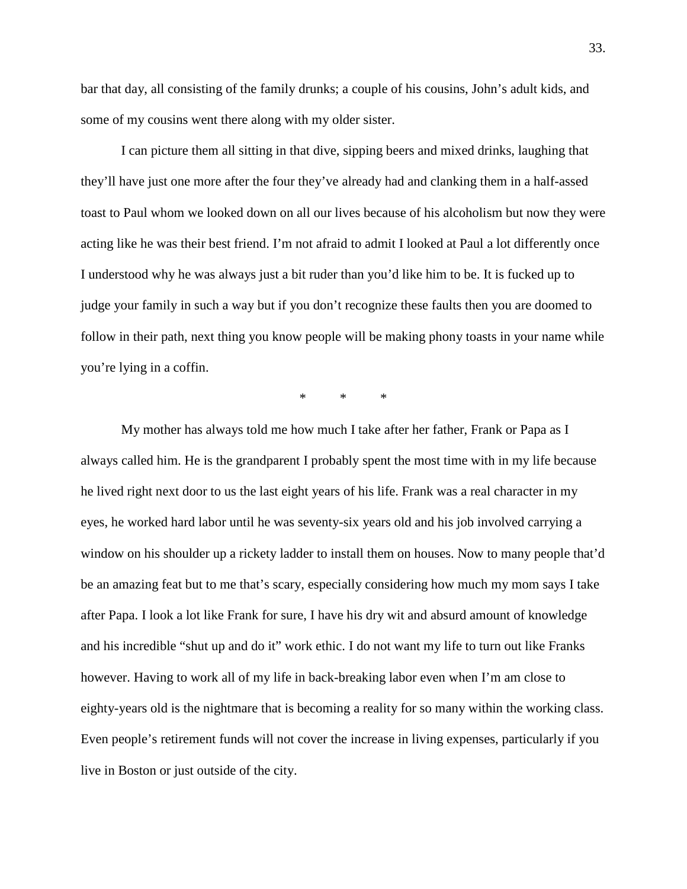bar that day, all consisting of the family drunks; a couple of his cousins, John's adult kids, and some of my cousins went there along with my older sister.

I can picture them all sitting in that dive, sipping beers and mixed drinks, laughing that they'll have just one more after the four they've already had and clanking them in a half-assed toast to Paul whom we looked down on all our lives because of his alcoholism but now they were acting like he was their best friend. I'm not afraid to admit I looked at Paul a lot differently once I understood why he was always just a bit ruder than you'd like him to be. It is fucked up to judge your family in such a way but if you don't recognize these faults then you are doomed to follow in their path, next thing you know people will be making phony toasts in your name while you're lying in a coffin.

 $*$  \* \*

My mother has always told me how much I take after her father, Frank or Papa as I always called him. He is the grandparent I probably spent the most time with in my life because he lived right next door to us the last eight years of his life. Frank was a real character in my eyes, he worked hard labor until he was seventy-six years old and his job involved carrying a window on his shoulder up a rickety ladder to install them on houses. Now to many people that'd be an amazing feat but to me that's scary, especially considering how much my mom says I take after Papa. I look a lot like Frank for sure, I have his dry wit and absurd amount of knowledge and his incredible "shut up and do it" work ethic. I do not want my life to turn out like Franks however. Having to work all of my life in back-breaking labor even when I'm am close to eighty-years old is the nightmare that is becoming a reality for so many within the working class. Even people's retirement funds will not cover the increase in living expenses, particularly if you live in Boston or just outside of the city.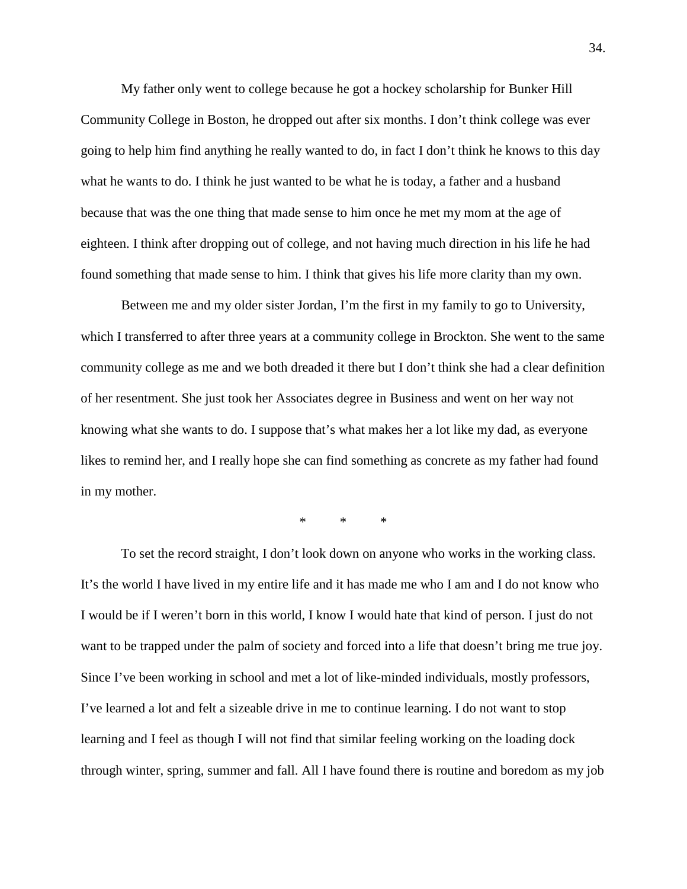My father only went to college because he got a hockey scholarship for Bunker Hill Community College in Boston, he dropped out after six months. I don't think college was ever going to help him find anything he really wanted to do, in fact I don't think he knows to this day what he wants to do. I think he just wanted to be what he is today, a father and a husband because that was the one thing that made sense to him once he met my mom at the age of eighteen. I think after dropping out of college, and not having much direction in his life he had found something that made sense to him. I think that gives his life more clarity than my own.

Between me and my older sister Jordan, I'm the first in my family to go to University, which I transferred to after three years at a community college in Brockton. She went to the same community college as me and we both dreaded it there but I don't think she had a clear definition of her resentment. She just took her Associates degree in Business and went on her way not knowing what she wants to do. I suppose that's what makes her a lot like my dad, as everyone likes to remind her, and I really hope she can find something as concrete as my father had found in my mother.

\* \* \*

To set the record straight, I don't look down on anyone who works in the working class. It's the world I have lived in my entire life and it has made me who I am and I do not know who I would be if I weren't born in this world, I know I would hate that kind of person. I just do not want to be trapped under the palm of society and forced into a life that doesn't bring me true joy. Since I've been working in school and met a lot of like-minded individuals, mostly professors, I've learned a lot and felt a sizeable drive in me to continue learning. I do not want to stop learning and I feel as though I will not find that similar feeling working on the loading dock through winter, spring, summer and fall. All I have found there is routine and boredom as my job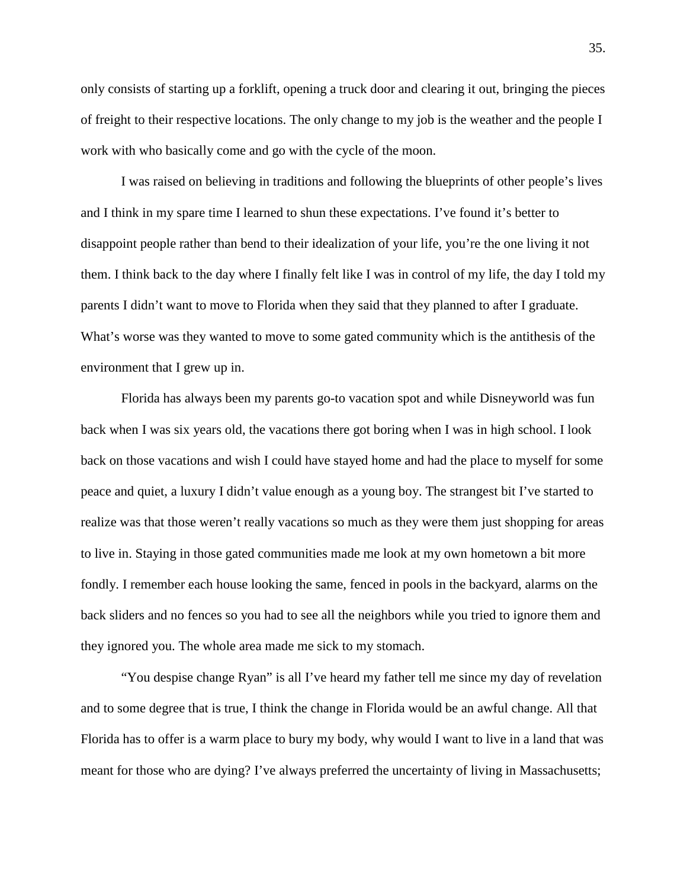only consists of starting up a forklift, opening a truck door and clearing it out, bringing the pieces of freight to their respective locations. The only change to my job is the weather and the people I work with who basically come and go with the cycle of the moon.

I was raised on believing in traditions and following the blueprints of other people's lives and I think in my spare time I learned to shun these expectations. I've found it's better to disappoint people rather than bend to their idealization of your life, you're the one living it not them. I think back to the day where I finally felt like I was in control of my life, the day I told my parents I didn't want to move to Florida when they said that they planned to after I graduate. What's worse was they wanted to move to some gated community which is the antithesis of the environment that I grew up in.

Florida has always been my parents go-to vacation spot and while Disneyworld was fun back when I was six years old, the vacations there got boring when I was in high school. I look back on those vacations and wish I could have stayed home and had the place to myself for some peace and quiet, a luxury I didn't value enough as a young boy. The strangest bit I've started to realize was that those weren't really vacations so much as they were them just shopping for areas to live in. Staying in those gated communities made me look at my own hometown a bit more fondly. I remember each house looking the same, fenced in pools in the backyard, alarms on the back sliders and no fences so you had to see all the neighbors while you tried to ignore them and they ignored you. The whole area made me sick to my stomach.

"You despise change Ryan" is all I've heard my father tell me since my day of revelation and to some degree that is true, I think the change in Florida would be an awful change. All that Florida has to offer is a warm place to bury my body, why would I want to live in a land that was meant for those who are dying? I've always preferred the uncertainty of living in Massachusetts;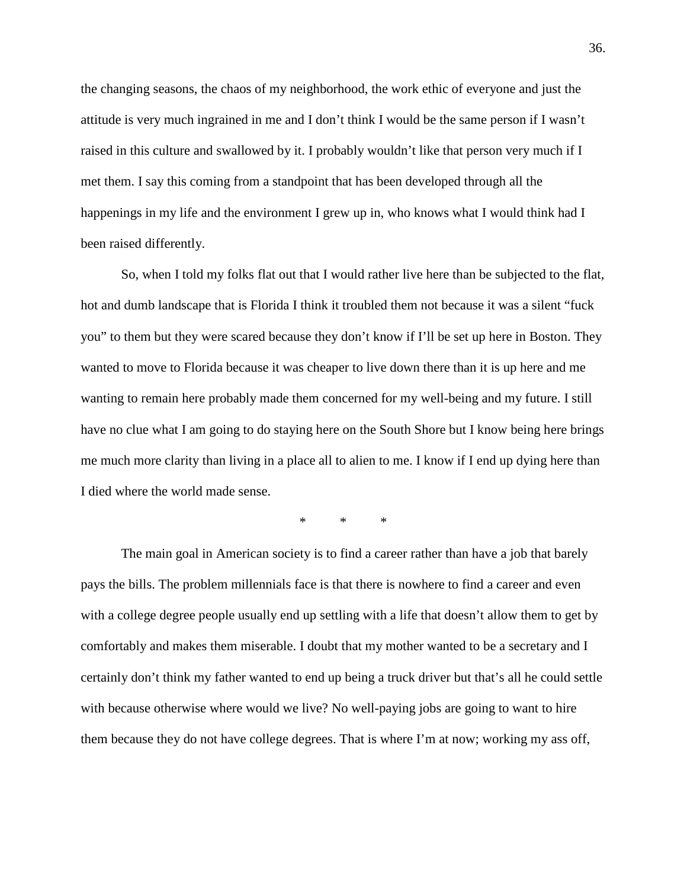the changing seasons, the chaos of my neighborhood, the work ethic of everyone and just the attitude is very much ingrained in me and I don't think I would be the same person if I wasn't raised in this culture and swallowed by it. I probably wouldn't like that person very much if I met them. I say this coming from a standpoint that has been developed through all the happenings in my life and the environment I grew up in, who knows what I would think had I been raised differently.

So, when I told my folks flat out that I would rather live here than be subjected to the flat, hot and dumb landscape that is Florida I think it troubled them not because it was a silent "fuck you" to them but they were scared because they don't know if I'll be set up here in Boston. They wanted to move to Florida because it was cheaper to live down there than it is up here and me wanting to remain here probably made them concerned for my well-being and my future. I still have no clue what I am going to do staying here on the South Shore but I know being here brings me much more clarity than living in a place all to alien to me. I know if I end up dying here than I died where the world made sense.

\* \* \*

The main goal in American society is to find a career rather than have a job that barely pays the bills. The problem millennials face is that there is nowhere to find a career and even with a college degree people usually end up settling with a life that doesn't allow them to get by comfortably and makes them miserable. I doubt that my mother wanted to be a secretary and I certainly don't think my father wanted to end up being a truck driver but that's all he could settle with because otherwise where would we live? No well-paying jobs are going to want to hire them because they do not have college degrees. That is where I'm at now; working my ass off,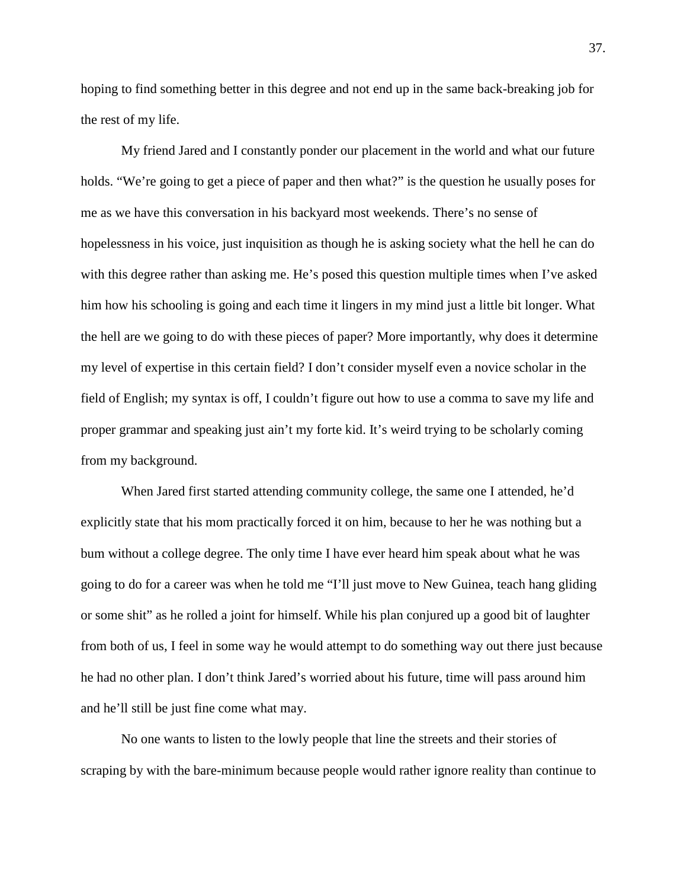hoping to find something better in this degree and not end up in the same back-breaking job for the rest of my life.

My friend Jared and I constantly ponder our placement in the world and what our future holds. "We're going to get a piece of paper and then what?" is the question he usually poses for me as we have this conversation in his backyard most weekends. There's no sense of hopelessness in his voice, just inquisition as though he is asking society what the hell he can do with this degree rather than asking me. He's posed this question multiple times when I've asked him how his schooling is going and each time it lingers in my mind just a little bit longer. What the hell are we going to do with these pieces of paper? More importantly, why does it determine my level of expertise in this certain field? I don't consider myself even a novice scholar in the field of English; my syntax is off, I couldn't figure out how to use a comma to save my life and proper grammar and speaking just ain't my forte kid. It's weird trying to be scholarly coming from my background.

When Jared first started attending community college, the same one I attended, he'd explicitly state that his mom practically forced it on him, because to her he was nothing but a bum without a college degree. The only time I have ever heard him speak about what he was going to do for a career was when he told me "I'll just move to New Guinea, teach hang gliding or some shit" as he rolled a joint for himself. While his plan conjured up a good bit of laughter from both of us, I feel in some way he would attempt to do something way out there just because he had no other plan. I don't think Jared's worried about his future, time will pass around him and he'll still be just fine come what may.

No one wants to listen to the lowly people that line the streets and their stories of scraping by with the bare-minimum because people would rather ignore reality than continue to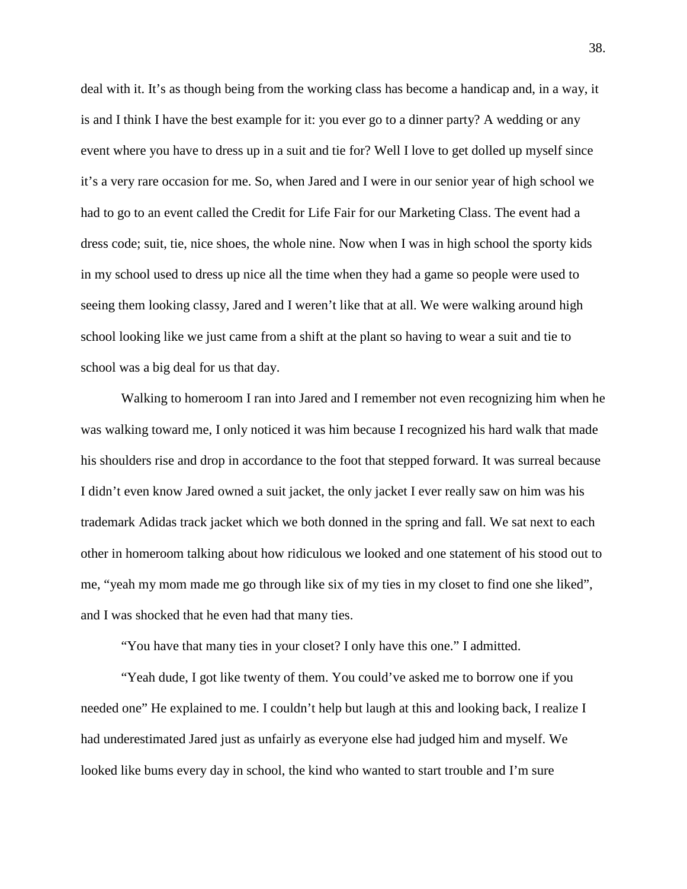deal with it. It's as though being from the working class has become a handicap and, in a way, it is and I think I have the best example for it: you ever go to a dinner party? A wedding or any event where you have to dress up in a suit and tie for? Well I love to get dolled up myself since it's a very rare occasion for me. So, when Jared and I were in our senior year of high school we had to go to an event called the Credit for Life Fair for our Marketing Class. The event had a dress code; suit, tie, nice shoes, the whole nine. Now when I was in high school the sporty kids in my school used to dress up nice all the time when they had a game so people were used to seeing them looking classy, Jared and I weren't like that at all. We were walking around high school looking like we just came from a shift at the plant so having to wear a suit and tie to school was a big deal for us that day.

Walking to homeroom I ran into Jared and I remember not even recognizing him when he was walking toward me, I only noticed it was him because I recognized his hard walk that made his shoulders rise and drop in accordance to the foot that stepped forward. It was surreal because I didn't even know Jared owned a suit jacket, the only jacket I ever really saw on him was his trademark Adidas track jacket which we both donned in the spring and fall. We sat next to each other in homeroom talking about how ridiculous we looked and one statement of his stood out to me, "yeah my mom made me go through like six of my ties in my closet to find one she liked", and I was shocked that he even had that many ties.

"You have that many ties in your closet? I only have this one." I admitted.

"Yeah dude, I got like twenty of them. You could've asked me to borrow one if you needed one" He explained to me. I couldn't help but laugh at this and looking back, I realize I had underestimated Jared just as unfairly as everyone else had judged him and myself. We looked like bums every day in school, the kind who wanted to start trouble and I'm sure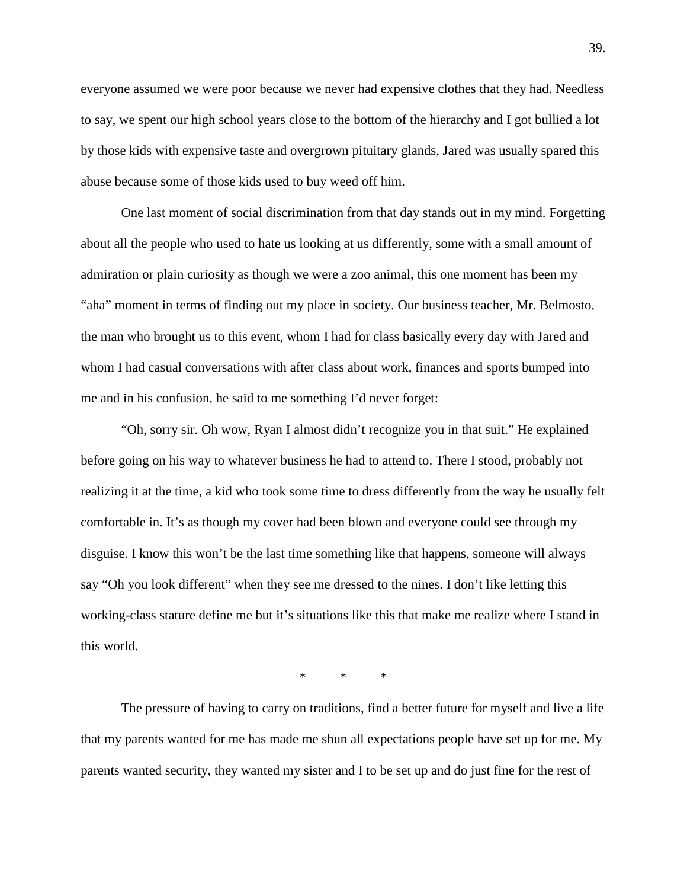everyone assumed we were poor because we never had expensive clothes that they had. Needless to say, we spent our high school years close to the bottom of the hierarchy and I got bullied a lot by those kids with expensive taste and overgrown pituitary glands, Jared was usually spared this abuse because some of those kids used to buy weed off him.

One last moment of social discrimination from that day stands out in my mind. Forgetting about all the people who used to hate us looking at us differently, some with a small amount of admiration or plain curiosity as though we were a zoo animal, this one moment has been my "aha" moment in terms of finding out my place in society. Our business teacher, Mr. Belmosto, the man who brought us to this event, whom I had for class basically every day with Jared and whom I had casual conversations with after class about work, finances and sports bumped into me and in his confusion, he said to me something I'd never forget:

"Oh, sorry sir. Oh wow, Ryan I almost didn't recognize you in that suit." He explained before going on his way to whatever business he had to attend to. There I stood, probably not realizing it at the time, a kid who took some time to dress differently from the way he usually felt comfortable in. It's as though my cover had been blown and everyone could see through my disguise. I know this won't be the last time something like that happens, someone will always say "Oh you look different" when they see me dressed to the nines. I don't like letting this working-class stature define me but it's situations like this that make me realize where I stand in this world.

\* \* \*

The pressure of having to carry on traditions, find a better future for myself and live a life that my parents wanted for me has made me shun all expectations people have set up for me. My parents wanted security, they wanted my sister and I to be set up and do just fine for the rest of